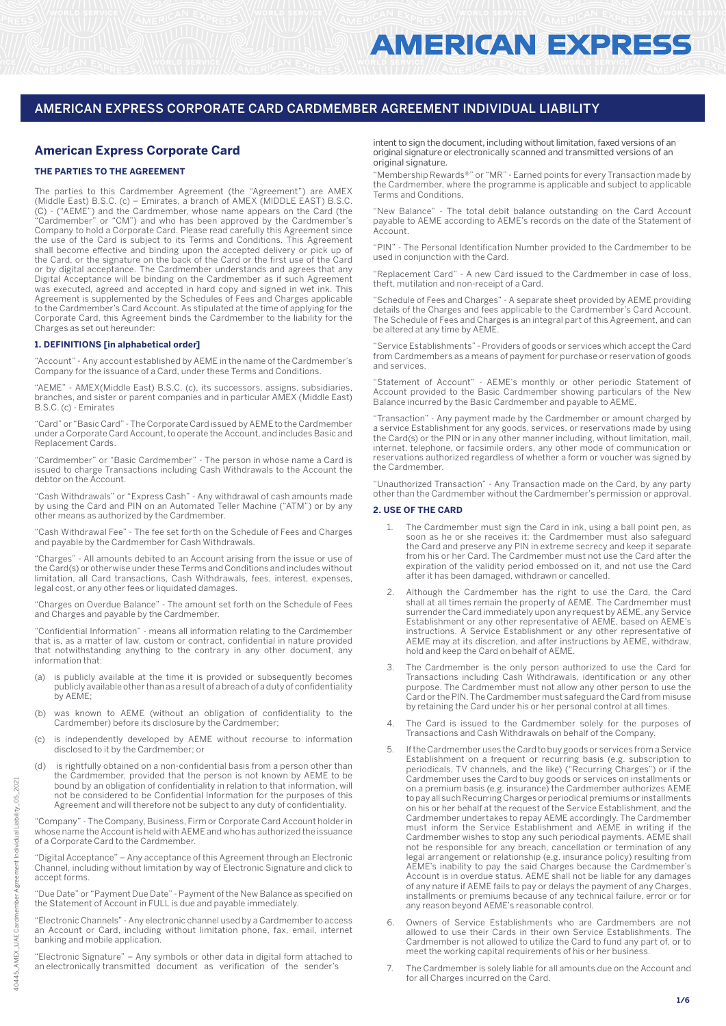# **American Express Corporate Card**

## **THE PARTIES TO THE AGREEMENT**

The parties to this Cardmember Agreement (the "Agreement") are AMEX (Middle East) B.S.C. (c) – Emirates, a branch of AMEX (MIDDLE EAST) B.S.C. (C) - ("AEME") and the Cardmember, whose name appears on the Card (the "Cardmember" or "CM") and who has been approved by the Cardmember's Company to hold a Corporate Card. Please read carefully this Agreement since the use of the Card is subject to its Terms and Conditions. This Agreement shall become effective and binding upon the accepted delivery or pick up of the Card, or the signature on the back of the Card or the first use of the Card or by digital acceptance. The Cardmember understands and agrees that any Digital Acceptance will be binding on the Cardmember as if such Agreement was executed, agreed and accepted in hard copy and signed in wet ink. This Agreement is supplemented by the Schedules of Fees and Charges applicable to the Cardmember's Card Account. As stipulated at the time of applying for the Corporate Card, this Agreement binds the Cardmember to the liability for the Charges as set out hereunder:

## **1. DEFINITIONS [in alphabetical order]**

"Account" - Any account established by AEME in the name of the Cardmember's Company for the issuance of a Card, under these Terms and Conditions.

"AEME" - AMEX(Middle East) B.S.C. (c), its successors, assigns, subsidiaries, branches, and sister or parent companies and in particular AMEX (Middle East) B.S.C. (c) - Emirates

"Card" or "Basic Card" - The Corporate Card issued by AEME to the Cardmember under a Corporate Card Account, to operate the Account, and includes Basic and Replacement Cards.

"Cardmember" or "Basic Cardmember" - The person in whose name a Card is issued to charge Transactions including Cash Withdrawals to the Account the debtor on the Account.

"Cash Withdrawals" or "Express Cash" - Any withdrawal of cash amounts made by using the Card and PIN on an Automated Teller Machine ("ATM") or by any other means as authorized by the Cardmember.

"Cash Withdrawal Fee" - The fee set forth on the Schedule of Fees and Charges and payable by the Cardmember for Cash Withdrawals.

"Charges" - All amounts debited to an Account arising from the issue or use of the Card(s) or otherwise under these Terms and Conditions and includes without limitation, all Card transactions, Cash Withdrawals, fees, interest, expenses, legal cost, or any other fees or liquidated damages.

"Charges on Overdue Balance" - The amount set forth on the Schedule of Fees and Charges and payable by the Cardmember.

"Confidential Information" - means all information relating to the Cardmember that is, as a matter of law, custom or contract, confidential in nature provided that notwithstanding anything to the contrary in any other document, any information that:

- (a) is publicly available at the time it is provided or subsequently becomes publicly available other than as a result of a breach of a duty of confidentiality by AEME;
- (b) was known to AEME (without an obligation of confidentiality to the Cardmember) before its disclosure by the Cardmember;
- (c) is independently developed by AEME without recourse to information disclosed to it by the Cardmember; or
- (d) is rightfully obtained on a non-confidential basis from a person other than the Cardmember, provided that the person is not known by AEME to be bound by an obligation of confidentiality in relation to that information, will not be considered to be Confidential Information for the purposes of this Agreement and will therefore not be subject to any duty of confidentiality.

"Company" - The Company, Business, Firm or Corporate Card Account holder in whose name the Account is held with AEME and who has authorized the issuance of a Corporate Card to the Cardmember.

"Digital Acceptance" – Any acceptance of this Agreement through an Electronic Channel, including without limitation by way of Electronic Signature and click to accept forms.

"Due Date" or "Payment Due Date" - Payment of the New Balance as specified on the Statement of Account in FULL is due and payable immediately.

"Electronic Channels" - Any electronic channel used by a Cardmember to access an Account or Card, including without limitation phone, fax, email, internet banking and mobile application.

"Electronic Signature" – Any symbols or other data in digital form attached to an electronically transmitted document as verification of the sender's

intent to sign the document, including without limitation, faxed versions of an original signature or electronically scanned and transmitted versions of an original signature.

"Membership Rewards®" or "MR" - Earned points for every Transaction made by the Cardmember, where the programme is applicable and subject to applicable Terms and Conditions.

"New Balance" - The total debit balance outstanding on the Card Account payable to AEME according to AEME's records on the date of the Statement of Account.

"PIN" - The Personal Identification Number provided to the Cardmember to be used in conjunction with the Card.

"Replacement Card" - A new Card issued to the Cardmember in case of loss, theft, mutilation and non-receipt of a Card.

"Schedule of Fees and Charges" - A separate sheet provided by AEME providing details of the Charges and fees applicable to the Cardmember's Card Account. The Schedule of Fees and Charges is an integral part of this Agreement, and can be altered at any time by AEME

"Service Establishments" - Providers of goods or services which accept the Card from Cardmembers as a means of payment for purchase or reservation of goods and services.

"Statement of Account" - AEME's monthly or other periodic Statement of Account provided to the Basic Cardmember showing particulars of the New Balance incurred by the Basic Cardmember and payable to AEME.

"Transaction" - Any payment made by the Cardmember or amount charged by a service Establishment for any goods, services, or reservations made by using the Card(s) or the PIN or in any other manner including, without limitation, mail, internet, telephone, or facsimile orders, any other mode of communication or reservations authorized regardless of whether a form or voucher was signed by the Cardmember.

"Unauthorized Transaction" - Any Transaction made on the Card, by any party other than the Cardmember without the Cardmember's permission or approval.

#### **2. USE OF THE CARD**

- 1. The Cardmember must sign the Card in ink, using a ball point pen, as soon as he or she receives it; the Cardmember must also safeguard the Card and preserve any PIN in extreme secrecy and keep it separate from his or her Card. The Cardmember must not use the Card after the expiration of the validity period embossed on it, and not use the Card after it has been damaged, withdrawn or cancelled.
- 2. Although the Cardmember has the right to use the Card, the Card shall at all times remain the property of AEME. The Cardmember must surrender the Card immediately upon any request by AEME, any Service Establishment or any other representative of AEME, based on AEME's instructions. A Service Establishment or any other representative of AEME may at its discretion, and after instructions by AEME, withdraw, hold and keep the Card on behalf of AEME.
- The Cardmember is the only person authorized to use the Card for Transactions including Cash Withdrawals, identification or any other purpose. The Cardmember must not allow any other person to use the Card or the PIN. The Cardmember must safeguard the Card from misuse by retaining the Card under his or her personal control at all times.
- 4. The Card is issued to the Cardmember solely for the purposes of Transactions and Cash Withdrawals on behalf of the Company.
- 5. If the Cardmember uses the Card to buy goods or services from a Service Establishment on a frequent or recurring basis (e.g. subscription to periodicals, TV channels, and the like) ("Recurring Charges") or if the Cardmember uses the Card to buy goods or services on installments or on a premium basis (e.g. insurance) the Cardmember authorizes AEME to pay all such Recurring Charges or periodical premiums or installments on his or her behalf at the request of the Service Establishment, and the Cardmember undertakes to repay AEME accordingly. The Cardmember must inform the Service Establishment and AEME in writing if the Cardmember wishes to stop any such periodical payments. AEME shall not be responsible for any breach, cancellation or termination of any legal arrangement or relationship (e.g. insurance policy) resulting from AEME's inability to pay the said Charges because the Cardmember's Account is in overdue status. AEME shall not be liable for any damages of any nature if AEME fails to pay or delays the payment of any Charges, installments or premiums because of any technical failure, error or for any reason beyond AEME's reasonable control.
- 6. Owners of Service Establishments who are Cardmembers are not allowed to use their Cards in their own Service Establishments. The Cardmember is not allowed to utilize the Card to fund any part of, or to meet the working capital requirements of his or her business.
- 7. The Cardmember is solely liable for all amounts due on the Account and for all Charges incurred on the Card.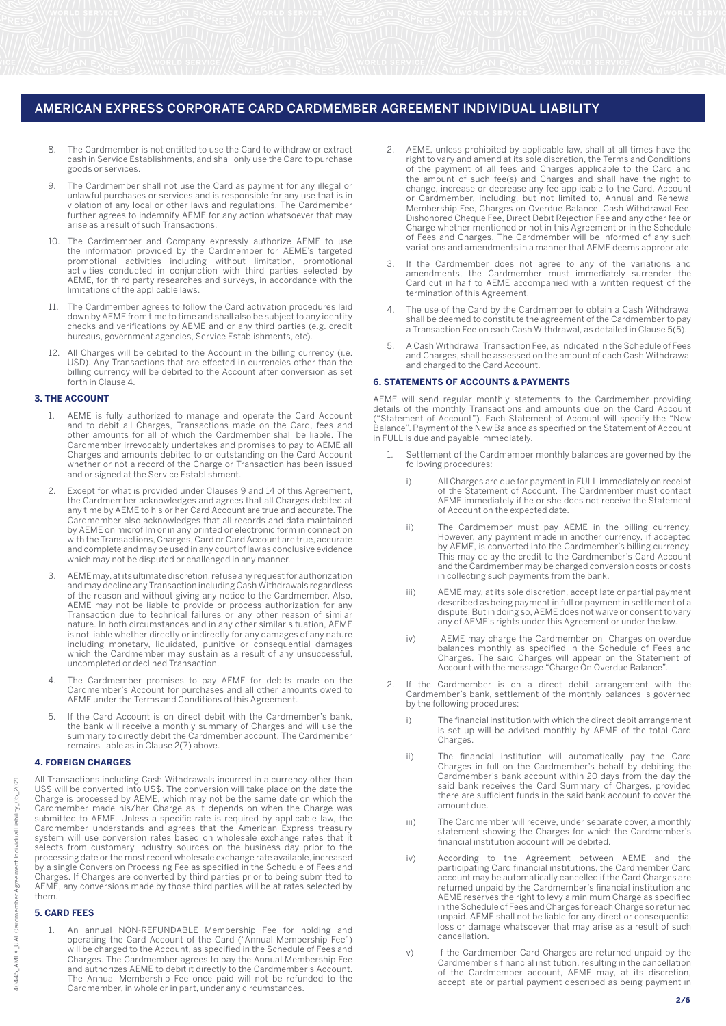- 8. The Cardmember is not entitled to use the Card to withdraw or extract cash in Service Establishments, and shall only use the Card to purchase goods or services.
- 9. The Cardmember shall not use the Card as payment for any illegal or unlawful purchases or services and is responsible for any use that is in violation of any local or other laws and regulations. The Cardmember further agrees to indemnify AEME for any action whatsoever that may arise as a result of such Transactions.
- 10. The Cardmember and Company expressly authorize AEME to use the information provided by the Cardmember for AEME's targeted promotional activities including without limitation, promotional activities conducted in conjunction with third parties selected by AEME, for third party researches and surveys, in accordance with the limitations of the applicable laws.
- 11. The Cardmember agrees to follow the Card activation procedures laid down by AEME from time to time and shall also be subject to any identity checks and verifications by AEME and or any third parties (e.g. credit bureaus, government agencies, Service Establishments, etc).
- 12. All Charges will be debited to the Account in the billing currency (i.e. USD). Any Transactions that are effected in currencies other than the billing currency will be debited to the Account after conversion as set forth in Clause 4.

## **3. THE ACCOUNT**

- 1. AEME is fully authorized to manage and operate the Card Account and to debit all Charges, Transactions made on the Card, fees and other amounts for all of which the Cardmember shall be liable. The Cardmember irrevocably undertakes and promises to pay to AEME all Charges and amounts debited to or outstanding on the Card Account whether or not a record of the Charge or Transaction has been issued and or signed at the Service Establishment.
- 2. Except for what is provided under Clauses 9 and 14 of this Agreement, the Cardmember acknowledges and agrees that all Charges debited at any time by AEME to his or her Card Account are true and accurate. The Cardmember also acknowledges that all records and data maintained by AEME on microfilm or in any printed or electronic form in connection with the Transactions, Charges, Card or Card Account are true, accurate and complete and may be used in any court of law as conclusive evidence which may not be disputed or challenged in any manner.
- 3. AEME may, at its ultimate discretion, refuse any request for authorization and may decline any Transaction including Cash Withdrawals regardless of the reason and without giving any notice to the Cardmember. Also, AEME may not be liable to provide or process authorization for any Transaction due to technical failures or any other reason of similar nature. In both circumstances and in any other similar situation, AEME is not liable whether directly or indirectly for any damages of any nature including monetary, liquidated, punitive or consequential damages which the Cardmember may sustain as a result of any unsuccessful, uncompleted or declined Transaction.
- The Cardmember promises to pay AEME for debits made on the Cardmember's Account for purchases and all other amounts owed to AEME under the Terms and Conditions of this Agreement.
- 5. If the Card Account is on direct debit with the Cardmember's bank, the bank will receive a monthly summary of Charges and will use the summary to directly debit the Cardmember account. The Cardmember remains liable as in Clause 2(7) above.

#### **4. FOREIGN CHARGES**

All Transactions including Cash Withdrawals incurred in a currency other than US\$ will be converted into US\$. The conversion will take place on the date the Charge is processed by AEME, which may not be the same date on which the Cardmember made his/her Charge as it depends on when the Charge was submitted to AEME. Unless a specific rate is required by applicable law, the Cardmember understands and agrees that the American Express treasury system will use conversion rates based on wholesale exchange rates that it selects from customary industry sources on the business day prior to the processing date or the most recent wholesale exchange rate available, increased by a single Conversion Processing Fee as specified in the Schedule of Fees and Charges. If Charges are converted by third parties prior to being submitted to AEME, any conversions made by those third parties will be at rates selected by them.

# **5. CARD FEES**

An annual NON-REFUNDABLE Membership Fee for holding and operating the Card Account of the Card ("Annual Membership Fee") will be charged to the Account, as specified in the Schedule of Fees and Charges. The Cardmember agrees to pay the Annual Membership Fee and authorizes AEME to debit it directly to the Cardmember's Account. The Annual Membership Fee once paid will not be refunded to the Cardmember, in whole or in part, under any circumstances.

- AEME, unless prohibited by applicable law, shall at all times have the right to vary and amend at its sole discretion, the Terms and Conditions of the payment of all fees and Charges applicable to the Card and the amount of such fee(s) and Charges and shall have the right to change, increase or decrease any fee applicable to the Card, Account or Cardmember, including, but not limited to, Annual and Renewal Membership Fee, Charges on Overdue Balance, Cash Withdrawal Fee, Dishonored Cheque Fee, Direct Debit Rejection Fee and any other fee or Charge whether mentioned or not in this Agreement or in the Schedule of Fees and Charges. The Cardmember will be informed of any such variations and amendments in a manner that AEME deems appropriate.
- 3. If the Cardmember does not agree to any of the variations and amendments, the Cardmember must immediately surrender the Card cut in half to AEME accompanied with a written request of the termination of this Agreement.
- 4. The use of the Card by the Cardmember to obtain a Cash Withdrawal shall be deemed to constitute the agreement of the Cardmember to pay a Transaction Fee on each Cash Withdrawal, as detailed in Clause 5(5).
- 5. A Cash Withdrawal Transaction Fee, as indicated in the Schedule of Fees and Charges, shall be assessed on the amount of each Cash Withdrawal and charged to the Card Account.

#### **6. STATEMENTS OF ACCOUNTS & PAYMENTS**

AEME will send regular monthly statements to the Cardmember providing details of the monthly Transactions and amounts due on the Card Account ("Statement of Account"). Each Statement of Account will specify the "New Balance". Payment of the New Balance as specified on the Statement of Account in FULL is due and payable immediately.

- Settlement of the Cardmember monthly balances are governed by the following procedures:
	- i) All Charges are due for payment in FULL immediately on receipt of the Statement of Account. The Cardmember must contact AEME immediately if he or she does not receive the Statement of Account on the expected date.
	- ii) The Cardmember must pay AEME in the billing currency. However, any payment made in another currency, if accepted by AEME, is converted into the Cardmember's billing currency. This may delay the credit to the Cardmember's Card Account and the Cardmember may be charged conversion costs or costs in collecting such payments from the bank.
	- iii) AEME may, at its sole discretion, accept late or partial payment described as being payment in full or payment in settlement of a dispute. But in doing so, AEME does not waive or consent to vary any of AEME's rights under this Agreement or under the law.
- iv) AEME may charge the Cardmember on Charges on overdue balances monthly as specified in the Schedule of Fees and Charges. The said Charges will appear on the Statement of Account with the message "Charge On Overdue Balance".
	- 2. If the Cardmember is on a direct debit arrangement with the Cardmember's bank, settlement of the monthly balances is governed by the following procedures:
		- i) The financial institution with which the direct debit arrangement is set up will be advised monthly by AEME of the total Card S Set up
- ii) The financial institution will automatically pay the Card Charges in full on the Cardmember's behalf by debiting the Cardmember's bank account within 20 days from the day the said bank receives the Card Summary of Charges, provided there are sufficient funds in the said bank account to cover the amount due.
	- iii) The Cardmember will receive, under separate cover, a monthly statement showing the Charges for which the Cardmember's financial institution account will be debited.
	- iv) According to the Agreement between AEME and the participating Card financial institutions, the Cardmember Card account may be automatically cancelled if the Card Charges are returned unpaid by the Cardmember's financial institution and AEME reserves the right to levy a minimum Charge as specified in the Schedule of Fees and Charges for each Charge so returned unpaid. AEME shall not be liable for any direct or consequential loss or damage whatsoever that may arise as a result of such cancellation.
	- v) If the Cardmember Card Charges are returned unpaid by the Cardmember's financial institution, resulting in the cancellation of the Cardmember account, AEME may, at its discretion, accept late or partial payment described as being payment in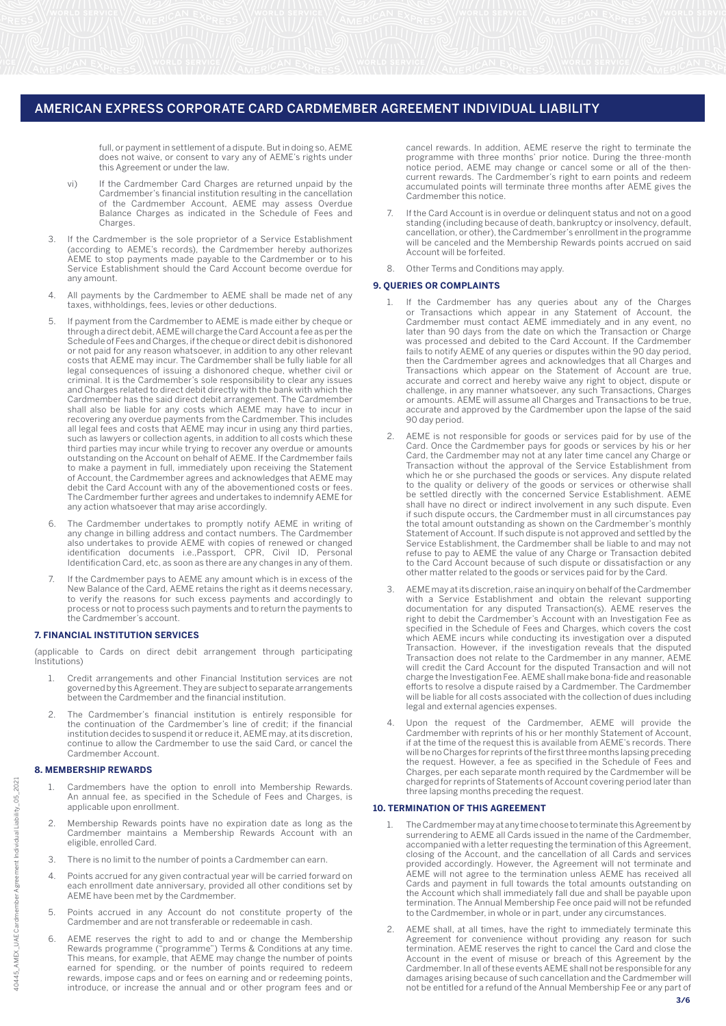full, or payment in settlement of a dispute. But in doing so, AEME does not waive, or consent to vary any of AEME's rights under this Agreement or under the law.

- vi) If the Cardmember Card Charges are returned unpaid by the Cardmember's financial institution resulting in the cancellation of the Cardmember Account, AEME may assess Overdue Balance Charges as indicated in the Schedule of Fees and Charges.
- 3. If the Cardmember is the sole proprietor of a Service Establishment (according to AEME's records), the Cardmember hereby authorizes AEME to stop payments made payable to the Cardmember or to his Service Establishment should the Card Account become overdue for any amount.
- 4. All payments by the Cardmember to AEME shall be made net of any taxes, withholdings, fees, levies or other deductions.
- 5. If payment from the Cardmember to AEME is made either by cheque or through a direct debit, AEME will charge the Card Account a fee as per the Schedule of Fees and Charges, if the cheque or direct debit is dishonored or not paid for any reason whatsoever, in addition to any other relevant costs that AEME may incur. The Cardmember shall be fully liable for all legal consequences of issuing a dishonored cheque, whether civil or criminal. It is the Cardmember's sole responsibility to clear any issues and Charges related to direct debit directly with the bank with which the Cardmember has the said direct debit arrangement. The Cardmember shall also be liable for any costs which AEME may have to incur in recovering any overdue payments from the Cardmember. This includes all legal fees and costs that AEME may incur in using any third parties, such as lawyers or collection agents, in addition to all costs which these third parties may incur while trying to recover any overdue or amounts outstanding on the Account on behalf of AEME. If the Cardmember fails to make a payment in full, immediately upon receiving the Statement of Account, the Cardmember agrees and acknowledges that AEME may debit the Card Account with any of the abovementioned costs or fees. The Cardmember further agrees and undertakes to indemnify AEME for any action whatsoever that may arise accordingly.
- 6. The Cardmember undertakes to promptly notify AEME in writing of any change in billing address and contact numbers. The Cardmember also undertakes to provide AEME with copies of renewed or changed identification documents i.e.,Passport, CPR, Civil ID, Personal Identification Card, etc, as soon as there are any changes in any of them.
- 7. If the Cardmember pays to AEME any amount which is in excess of the New Balance of the Card, AEME retains the right as it deems necessary, to verify the reasons for such excess payments and accordingly to process or not to process such payments and to return the payments to the Cardmember's account.

## **7. FINANCIAL INSTITUTION SERVICES**

(applicable to Cards on direct debit arrangement through participating Institutions)

- 1. Credit arrangements and other Financial Institution services are not governed by this Agreement. They are subject to separate arrangements between the Cardmember and the financial institution.
- 2. The Cardmember's financial institution is entirely responsible for the continuation of the Cardmember's line of credit; if the financial institution decides to suspend it or reduce it, AEME may, at its discretion, continue to allow the Cardmember to use the said Card, or cancel the Cardmember Account.

#### **8. MEMBERSHIP REWARDS**

- Cardmembers have the option to enroll into Membership Rewards. An annual fee, as specified in the Schedule of Fees and Charges, is applicable upon enrollment.
- 2. Membership Rewards points have no expiration date as long as the Cardmember maintains a Membership Rewards Account with an eligible, enrolled Card.
- 3. There is no limit to the number of points a Cardmember can earn.
- 4. Points accrued for any given contractual year will be carried forward on each enrollment date anniversary, provided all other conditions set by AEME have been met by the Cardmember.
- 5. Points accrued in any Account do not constitute property of the Cardmember and are not transferable or redeemable in cash.
- 6. AEME reserves the right to add to and or change the Membership Rewards programme ("programme") Terms & Conditions at any time. This means, for example, that AEME may change the number of points earned for spending, or the number of points required to redeem rewards, impose caps and or fees on earning and or redeeming points, introduce, or increase the annual and or other program fees and or

cancel rewards. In addition, AEME reserve the right to terminate the programme with three months' prior notice. During the three-month notice period, AEME may change or cancel some or all of the thencurrent rewards. The Cardmember's right to earn points and redeem accumulated points will terminate three months after AEME gives the Cardmember this notice.

- 7. If the Card Account is in overdue or delinquent status and not on a good standing (including because of death, bankruptcy or insolvency, default, cancellation, or other), the Cardmember's enrollment in the programme will be canceled and the Membership Rewards points accrued on said Account will be forfeited.
- 8. Other Terms and Conditions may apply.

# **9. QUERIES OR COMPLAINTS**

- 1. If the Cardmember has any queries about any of the Charges or Transactions which appear in any Statement of Account, the Cardmember must contact AEME immediately and in any event, no later than 90 days from the date on which the Transaction or Charge was processed and debited to the Card Account. If the Cardmember fails to notify AEME of any queries or disputes within the 90 day period, then the Cardmember agrees and acknowledges that all Charges and Transactions which appear on the Statement of Account are true, accurate and correct and hereby waive any right to object, dispute or challenge, in any manner whatsoever, any such Transactions, Charges or amounts. AEME will assume all Charges and Transactions to be true, accurate and approved by the Cardmember upon the lapse of the said 90 day period.
- AEME is not responsible for goods or services paid for by use of the Card. Once the Cardmember pays for goods or services by his or her Card, the Cardmember may not at any later time cancel any Charge or Transaction without the approval of the Service Establishment from which he or she purchased the goods or services. Any dispute related to the quality or delivery of the goods or services or otherwise shall be settled directly with the concerned Service Establishment. AEME shall have no direct or indirect involvement in any such dispute. Even if such dispute occurs, the Cardmember must in all circumstances pay the total amount outstanding as shown on the Cardmember's monthly Statement of Account. If such dispute is not approved and settled by the Service Establishment, the Cardmember shall be liable to and may not refuse to pay to AEME the value of any Charge or Transaction debited to the Card Account because of such dispute or dissatisfaction or any other matter related to the goods or services paid for by the Card.
- 3. AEME may at its discretion, raise an inquiry on behalf of the Cardmember with a Service Establishment and obtain the relevant supporting documentation for any disputed Transaction(s). AEME reserves the right to debit the Cardmember's Account with an Investigation Fee as specified in the Schedule of Fees and Charges, which covers the cost which AEME incurs while conducting its investigation over a disputed Transaction. However, if the investigation reveals that the disputed Transaction does not relate to the Cardmember in any manner, AEME will credit the Card Account for the disputed Transaction and will not charge the Investigation Fee. AEME shall make bona-fide and reasonable efforts to resolve a dispute raised by a Cardmember. The Cardmember will be liable for all costs associated with the collection of dues including legal and external agencies expenses.
- 4. Upon the request of the Cardmember, AEME will provide the Cardmember with reprints of his or her monthly Statement of Account, if at the time of the request this is available from AEME's records. There will be no Charges for reprints of the first three months lapsing preceding the request. However, a fee as specified in the Schedule of Fees and Charges, per each separate month required by the Cardmember will be charged for reprints of Statements of Account covering period later than three lapsing months preceding the request.

## **10. TERMINATION OF THIS AGREEMENT**

- 1. The Cardmember may at any time choose to terminate this Agreement by surrendering to AEME all Cards issued in the name of the Cardmember, accompanied with a letter requesting the termination of this Agreement, closing of the Account, and the cancellation of all Cards and services provided accordingly. However, the Agreement will not terminate and AEME will not agree to the termination unless AEME has received all Cards and payment in full towards the total amounts outstanding on the Account which shall immediately fall due and shall be payable upon termination. The Annual Membership Fee once paid will not be refunded to the Cardmember, in whole or in part, under any circumstances.
- AEME shall, at all times, have the right to immediately terminate this Agreement for convenience without providing any reason for such termination. AEME reserves the right to cancel the Card and close the Account in the event of misuse or breach of this Agreement by the Cardmember. In all of these events AEME shall not be responsible for any damages arising because of such cancellation and the Cardmember will not be entitled for a refund of the Annual Membership Fee or any part of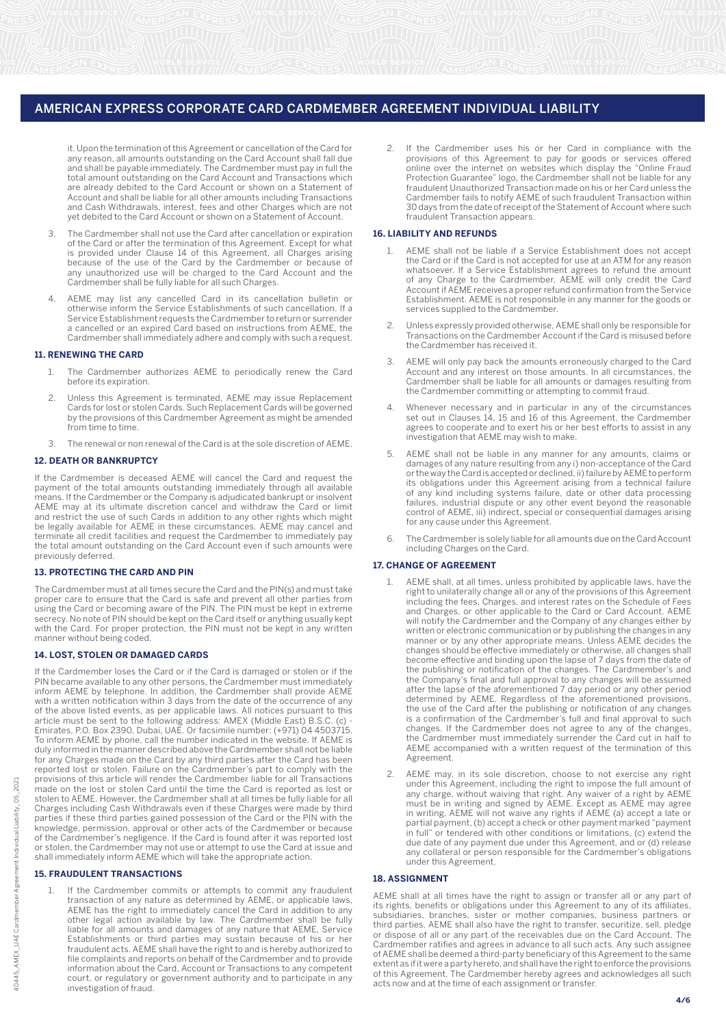it. Upon the termination of this Agreement or cancellation of the Card for any reason, all amounts outstanding on the Card Account shall fall due and shall be payable immediately. The Cardmember must pay in full the total amount outstanding on the Card Account and Transactions which are already debited to the Card Account or shown on a Statement of Account and shall be liable for all other amounts including Transactions and Cash Withdrawals, interest, fees and other Charges which are not yet debited to the Card Account or shown on a Statement of Account.

- 3. The Cardmember shall not use the Card after cancellation or expiration of the Card or after the termination of this Agreement. Except for what is provided under Clause 14 of this Agreement, all Charges arising because of the use of the Card by the Cardmember or because of any unauthorized use will be charged to the Card Account and the Cardmember shall be fully liable for all such Charges.
- 4. AEME may list any cancelled Card in its cancellation bulletin or otherwise inform the Service Establishments of such cancellation. If a Service Establishment requests the Cardmember to return or surrender a cancelled or an expired Card based on instructions from AEME, the Cardmember shall immediately adhere and comply with such a request.

## **11. RENEWING THE CARD**

- 1. The Cardmember authorizes AEME to periodically renew the Card before its expiration.
- 2. Unless this Agreement is terminated, AEME may issue Replacement Cards for lost or stolen Cards. Such Replacement Cards will be governed by the provisions of this Cardmember Agreement as might be amended from time to time.
- 3. The renewal or non renewal of the Card is at the sole discretion of AEME.

#### **12. DEATH OR BANKRUPTCY**

If the Cardmember is deceased AEME will cancel the Card and request the payment of the total amounts outstanding immediately through all available means. If the Cardmember or the Company is adjudicated bankrupt or insolvent AEME may at its ultimate discretion cancel and withdraw the Card or limit and restrict the use of such Cards in addition to any other rights which might be legally available for AEME in these circumstances. AEME may cancel and terminate all credit facilities and request the Cardmember to immediately pay the total amount outstanding on the Card Account even if such amounts were previously deferred.

## **13. PROTECTING THE CARD AND PIN**

The Cardmember must at all times secure the Card and the PIN(s) and must take proper care to ensure that the Card is safe and prevent all other parties from using the Card or becoming aware of the PIN. The PIN must be kept in extreme secrecy. No note of PIN should be kept on the Card itself or anything usually kept with the Card. For proper protection, the PIN must not be kept in any written manner without being coded.

## **14. LOST, STOLEN OR DAMAGED CARDS**

| If the Cardmember loses the Card or if the Card is damaged or stolen or if the     |
|------------------------------------------------------------------------------------|
| PIN became available to any other persons, the Cardmember must immediately         |
| inform AEME by telephone. In addition, the Cardmember shall provide AEME           |
| with a written notification within 3 days from the date of the occurrence of any   |
| of the above listed events, as per applicable laws. All notices pursuant to this   |
| article must be sent to the following address: AMEX (Middle East) B.S.C. (c) -     |
| Emirates, P.O. Box 2390, Dubai, UAE. Or facsimile number: (+971) 04 4503715.       |
| To inform AEME by phone, call the number indicated in the website. If AEME is      |
| duly informed in the manner described above the Cardmember shall not be liable     |
| for any Charges made on the Card by any third parties after the Card has been      |
| reported lost or stolen. Failure on the Cardmember's part to comply with the       |
| provisions of this article will render the Cardmember liable for all Transactions  |
| made on the lost or stolen Card until the time the Card is reported as lost or     |
| stolen to AEME. However, the Cardmember shall at all times be fully liable for all |
| Charges including Cash Withdrawals even if these Charges were made by third        |
| parties if these third parties gained possession of the Card or the PIN with the   |
| knowledge, permission, approval or other acts of the Cardmember or because         |
| of the Cardmember's negligence. If the Card is found after it was reported lost    |
| or stolen, the Cardmember may not use or attempt to use the Card at issue and      |
| shall immediately inform AEME which will take the appropriate action.              |

## **15. FRAUDULENT TRANSACTIONS**

If the Cardmember commits or attempts to commit any fraudulent transaction of any nature as determined by AEME, or applicable laws, AEME has the right to immediately cancel the Card in addition to any other legal action available by law. The Cardmember shall be fully liable for all amounts and damages of any nature that AEME, Service Establishments or third parties may sustain because of his or her fraudulent acts. AEME shall have the right to and is hereby authorized to file complaints and reports on behalf of the Cardmember and to provide information about the Card, Account or Transactions to any competent court, or regulatory or government authority and to participate in any investigation of fraud.

If the Cardmember uses his or her Card in compliance with the provisions of this Agreement to pay for goods or services offered online over the internet on websites which display the "Online Fraud Protection Guarantee" logo, the Cardmember shall not be liable for any fraudulent Unauthorized Transaction made on his or her Card unless the Cardmember fails to notify AEME of such fraudulent Transaction within 30 days from the date of receipt of the Statement of Account where such fraudulent Transaction appears.

## **16. LIABILITY AND REFUNDS**

- 1. AEME shall not be liable if a Service Establishment does not accept the Card or if the Card is not accepted for use at an ATM for any reason whatsoever. If a Service Establishment agrees to refund the amount of any Charge to the Cardmember, AEME will only credit the Card Account if AEME receives a proper refund confirmation from the Service Establishment. AEME is not responsible in any manner for the goods or services supplied to the Cardmember.
- 2. Unless expressly provided otherwise, AEME shall only be responsible for Transactions on the Cardmember Account if the Card is misused before the Cardmember has received it.
- AEME will only pay back the amounts erroneously charged to the Card Account and any interest on those amounts. In all circumstances, the Cardmember shall be liable for all amounts or damages resulting from the Cardmember committing or attempting to commit fraud.
- 4. Whenever necessary and in particular in any of the circumstances set out in Clauses 14, 15 and 16 of this Agreement, the Cardmember agrees to cooperate and to exert his or her best efforts to assist in any investigation that AEME may wish to make.
- 5. AEME shall not be liable in any manner for any amounts, claims or damages of any nature resulting from any i) non-acceptance of the Card or the way the Card is accepted or declined, ii) failure by AEME to perform its obligations under this Agreement arising from a technical failure of any kind including systems failure, date or other data processing failures, industrial dispute or any other event beyond the reasonable control of AEME, iii) indirect, special or consequential damages arising for any cause under this Agreement.
- The Cardmember is solely liable for all amounts due on the Card Account including Charges on the Card.

# **17. CHANGE OF AGREEMENT**

- 1. AEME shall, at all times, unless prohibited by applicable laws, have the right to unilaterally change all or any of the provisions of this Agreement including the fees, Charges, and interest rates on the Schedule of Fees and Charges, or other applicable to the Card or Card Account. AEME will notify the Cardmember and the Company of any changes either by written or electronic communication or by publishing the changes in any manner or by any other appropriate means. Unless AEME decides the changes should be effective immediately or otherwise, all changes shall become effective and binding upon the lapse of 7 days from the date of the publishing or notification of the changes. The Cardmember's and the Company's final and full approval to any changes will be assumed after the lapse of the aforementioned 7 day period or any other period determined by AEME. Regardless of the aforementioned provisions, the use of the Card after the publishing or notification of any changes is a confirmation of the Cardmember's full and final approval to such changes. If the Cardmember does not agree to any of the changes, the Cardmember must immediately surrender the Card cut in half to AEME accompanied with a written request of the termination of this Agreement.
- 2. AEME may, in its sole discretion, choose to not exercise any right under this Agreement, including the right to impose the full amount of any charge, without waiving that right. Any waiver of a right by AEME must be in writing and signed by AEME. Except as AEME may agree in writing, AEME will not waive any rights if AEME (a) accept a late or partial payment, (b) accept a check or other payment marked "payment in full" or tendered with other conditions or limitations, (c) extend the due date of any payment due under this Agreement, and or (d) release any collateral or person responsible for the Cardmember's obligations under this Agreement.

## **18. ASSIGNMENT**

AEME shall at all times have the right to assign or transfer all or any part of its rights, benefits or obligations under this Agreement to any of its affiliates, subsidiaries, branches, sister or mother companies, business partners or third parties. AEME shall also have the right to transfer, securitize, sell, pledge or dispose of all or any part of the receivables due on the Card Account. The Cardmember ratifies and agrees in advance to all such acts. Any such assignee of AEME shall be deemed a third-party beneficiary of this Agreement to the same extent as if it were a party hereto, and shall have the right to enforce the provisions of this Agreement. The Cardmember hereby agrees and acknowledges all such acts now and at the time of each assignment or transfer.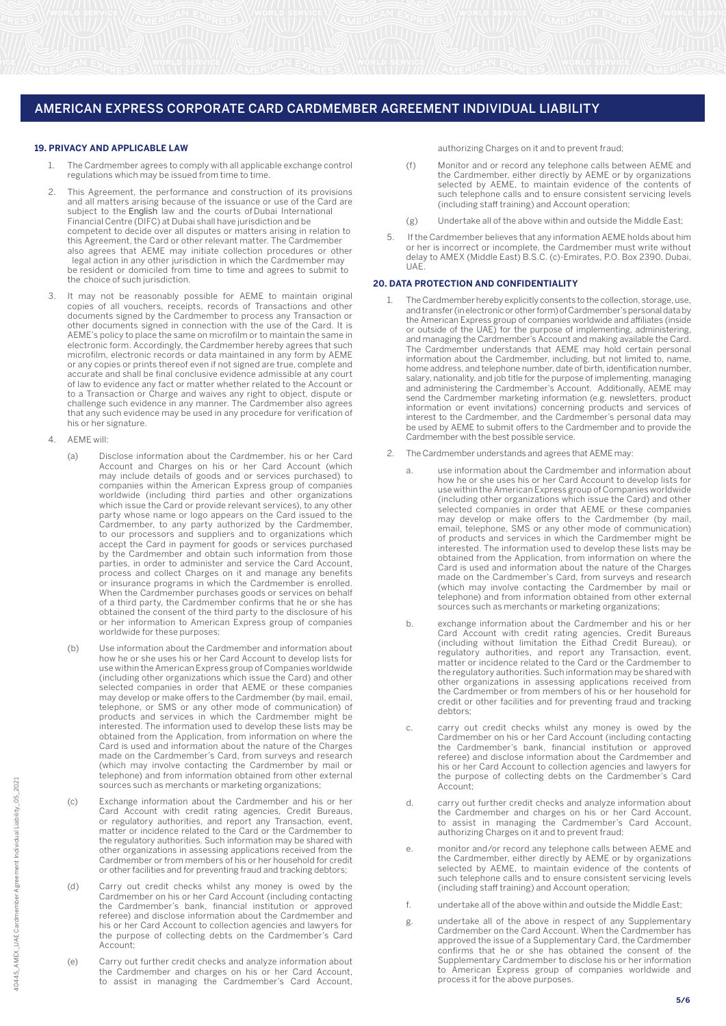#### **19. PRIVACY AND APPLICABLE LAW**

- 1. The Cardmember agrees to comply with all applicable exchange control regulations which may be issued from time to time.
- $\overline{a}$ This Agreement, the performance and construction of its provisions and all matters arising because of the issuance or use of the Card are subject to the English law and the courts of Dubai International Financial Centre (DIFC) at Dubai shall have jurisdiction and be competent to decide over all disputes or matters arising in relation to this Agreement, the Card or other relevant matter. The Cardmember also agrees that AEME may initiate collection procedures or other legal action in any other jurisdiction in which the Cardmember may be resident or domiciled from time to time and agrees to submit to the choice of such jurisdiction.
- 3. It may not be reasonably possible for AEME to maintain original copies of all vouchers, receipts, records of Transactions and other documents signed by the Cardmember to process any Transaction or other documents signed in connection with the use of the Card. It is AEME's policy to place the same on microfilm or to maintain the same in electronic form. Accordingly, the Cardmember hereby agrees that such microfilm, electronic records or data maintained in any form by AEME or any copies or prints thereof even if not signed are true, complete and accurate and shall be final conclusive evidence admissible at any court of law to evidence any fact or matter whether related to the Account or to a Transaction or Charge and waives any right to object, dispute or challenge such evidence in any manner. The Cardmember also agrees that any such evidence may be used in any procedure for verification of his or her signature.
- 4. AEME will:
	- (a) Disclose information about the Cardmember, his or her Card Account and Charges on his or her Card Account (which may include details of goods and or services purchased) to companies within the American Express group of companies worldwide (including third parties and other organizations which issue the Card or provide relevant services), to any other party whose name or logo appears on the Card issued to the Cardmember, to any party authorized by the Cardmember, to our processors and suppliers and to organizations which accept the Card in payment for goods or services purchased by the Cardmember and obtain such information from those parties, in order to administer and service the Card Account, process and collect Charges on it and manage any benefits or insurance programs in which the Cardmember is enrolled. When the Cardmember purchases goods or services on behalf of a third party, the Cardmember confirms that he or she has obtained the consent of the third party to the disclosure of his or her information to American Express group of companies worldwide for these purposes;
	- (b) Use information about the Cardmember and information about how he or she uses his or her Card Account to develop lists for use within the American Express group of Companies worldwide (including other organizations which issue the Card) and other selected companies in order that AEME or these companies may develop or make offers to the Cardmember (by mail, email, telephone, or SMS or any other mode of communication) of products and services in which the Cardmember might be interested. The information used to develop these lists may be obtained from the Application, from information on where the Card is used and information about the nature of the Charges made on the Cardmember's Card, from surveys and research (which may involve contacting the Cardmember by mail or telephone) and from information obtained from other external sources such as merchants or marketing organizations;
	- (c) Exchange information about the Cardmember and his or her Card Account with credit rating agencies, Credit Bureaus, or regulatory authorities, and report any Transaction, event, matter or incidence related to the Card or the Cardmember to the regulatory authorities. Such information may be shared with other organizations in assessing applications received from the Cardmember or from members of his or her household for credit or other facilities and for preventing fraud and tracking debtors;
	- (d) Carry out credit checks whilst any money is owed by the Cardmember on his or her Card Account (including contacting the Cardmember's bank, financial institution or approved referee) and disclose information about the Cardmember and his or her Card Account to collection agencies and lawyers for the purpose of collecting debts on the Cardmember's Card Account;
	- (e) Carry out further credit checks and analyze information about the Cardmember and charges on his or her Card Account, to assist in managing the Cardmember's Card Account,

authorizing Charges on it and to prevent fraud;

- (f) Monitor and or record any telephone calls between AEME and the Cardmember, either directly by AEME or by organizations selected by AEME, to maintain evidence of the contents of such telephone calls and to ensure consistent servicing levels (including staff training) and Account operation;
- (g) Undertake all of the above within and outside the Middle East;
- 5. If the Cardmember believes that any information AEME holds about him or her is incorrect or incomplete, the Cardmember must write without delay to AMEX (Middle East) B.S.C. (c)-Emirates, P.O. Box 2390, Dubai, UAE.

#### **20. DATA PROTECTION AND CONFIDENTIALITY**

- The Cardmember hereby explicitly consents to the collection, storage, use, and transfer (in electronic or other form) of Cardmember's personal data by the American Express group of companies worldwide and affiliates (inside or outside of the UAE) for the purpose of implementing, administering, and managing the Cardmember's Account and making available the Card. The Cardmember understands that AEME may hold certain personal information about the Cardmember, including, but not limited to, name, home address, and telephone number, date of birth, identification number, salary, nationality, and job title for the purpose of implementing, managing and administering the Cardmember's Account. Additionally, AEME may send the Cardmember marketing information (e.g. newsletters, product information or event invitations) concerning products and services of interest to the Cardmember, and the Cardmember's personal data may be used by AEME to submit offers to the Cardmember and to provide the Cardmember with the best possible service.
- 2. The Cardmember understands and agrees that AEME may:
	- a. use information about the Cardmember and information about how he or she uses his or her Card Account to develop lists for use within the American Express group of Companies worldwide (including other organizations which issue the Card) and other selected companies in order that AEME or these companies may develop or make offers to the Cardmember (by mail, email, telephone, SMS or any other mode of communication) of products and services in which the Cardmember might be interested. The information used to develop these lists may be obtained from the Application, from information on where the Card is used and information about the nature of the Charges made on the Cardmember's Card, from surveys and research (which may involve contacting the Cardmember by mail or telephone) and from information obtained from other external sources such as merchants or marketing organizations;
	- b. exchange information about the Cardmember and his or her Card Account with credit rating agencies, Credit Bureaus (including without limitation the Eithad Credit Bureau), or regulatory authorities, and report any Transaction, event, matter or incidence related to the Card or the Cardmember to the regulatory authorities. Such information may be shared with other organizations in assessing applications received from the Cardmember or from members of his or her household for credit or other facilities and for preventing fraud and tracking debtors;
	- c. carry out credit checks whilst any money is owed by the Cardmember on his or her Card Account (including contacting the Cardmember's bank, financial institution or approved referee) and disclose information about the Cardmember and his or her Card Account to collection agencies and lawyers for the purpose of collecting debts on the Cardmember's Card Account;
	- d. carry out further credit checks and analyze information about the Cardmember and charges on his or her Card Account, to assist in managing the Cardmember's Card Account, authorizing Charges on it and to prevent fraud;
	- e. monitor and/or record any telephone calls between AEME and the Cardmember, either directly by AEME or by organizations selected by AEME, to maintain evidence of the contents of such telephone calls and to ensure consistent servicing levels (including staff training) and Account operation;
	- f. undertake all of the above within and outside the Middle East;
- g. undertake all of the above in respect of any Supplementary Cardmember on the Card Account. When the Cardmember has approved the issue of a Supplementary Card, the Cardmember confirms that he or she has obtained the consent of the Supplementary Cardmember to disclose his or her information to American Express group of companies worldwide and process it for the above purposes.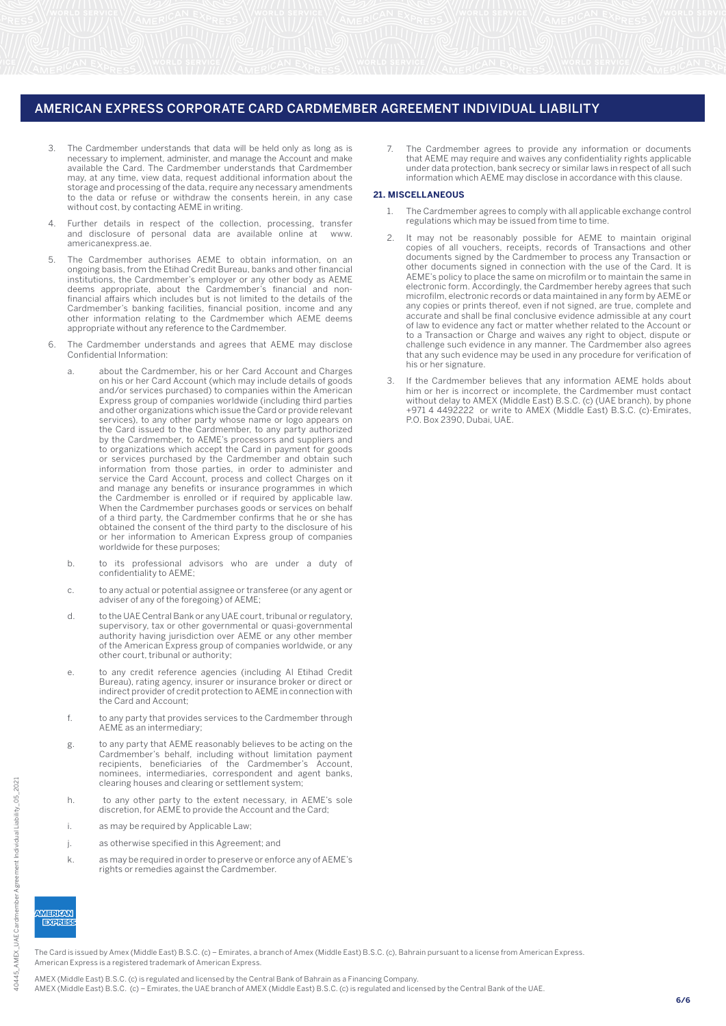- 3. The Cardmember understands that data will be held only as long as is necessary to implement, administer, and manage the Account and make available the Card. The Cardmember understands that Cardmember may, at any time, view data, request additional information about the storage and processing of the data, require any necessary amendments to the data or refuse or withdraw the consents herein, in any case without cost, by contacting AEME in writing.
- 4. Further details in respect of the collection, processing, transfer and disclosure of personal data are available online at www. americanexpress.ae.
- 5. The Cardmember authorises AEME to obtain information, on an ongoing basis, from the Etihad Credit Bureau, banks and other financial institutions, the Cardmember's employer or any other body as AEME deems appropriate, about the Cardmember's financial and nonfinancial affairs which includes but is not limited to the details of the Cardmember's banking facilities, financial position, income and any other information relating to the Cardmember which AEME deems appropriate without any reference to the Cardmember.
- 6. The Cardmember understands and agrees that AEME may disclose Confidential Information:
	- a. about the Cardmember, his or her Card Account and Charges on his or her Card Account (which may include details of goods and/or services purchased) to companies within the American Express group of companies worldwide (including third parties and other organizations which issue the Card or provide relevant services), to any other party whose name or logo appears on the Card issued to the Cardmember, to any party authorized by the Cardmember, to AEME's processors and suppliers and to organizations which accept the Card in payment for goods or services purchased by the Cardmember and obtain such information from those parties, in order to administer and service the Card Account, process and collect Charges on it and manage any benefits or insurance programmes in which the Cardmember is enrolled or if required by applicable law. When the Cardmember purchases goods or services on behalf of a third party, the Cardmember confirms that he or she has obtained the consent of the third party to the disclosure of his or her information to American Express group of companies worldwide for these purposes;
	- b. to its professional advisors who are under a duty of confidentiality to AEME;
	- c. to any actual or potential assignee or transferee (or any agent or adviser of any of the foregoing) of AEME;
	- d. to the UAE Central Bank or any UAE court, tribunal or regulatory, supervisory, tax or other governmental or quasi-governmental authority having jurisdiction over AEME or any other member of the American Express group of companies worldwide, or any other court, tribunal or authority;
	- e. to any credit reference agencies (including Al Etihad Credit Bureau), rating agency, insurer or insurance broker or direct or indirect provider of credit protection to AEME in connection with the Card and Account;
	- f. to any party that provides services to the Cardmember through AEME as an intermediary;
	- g. to any party that AEME reasonably believes to be acting on the Cardmember's behalf, including without limitation payment recipients, beneficiaries of the Cardmember's Account, nominees, intermediaries, correspondent and agent banks, clearing houses and clearing or settlement system;
	- h. to any other party to the extent necessary, in AEME's sole discretion, for AEME to provide the Account and the Card;
	- i. as may be required by Applicable Law;
	- j. as otherwise specified in this Agreement; and
	- k. as may be required in order to preserve or enforce any of AEME's rights or remedies against the Cardmember.

7. The Cardmember agrees to provide any information or documents that AEME may require and waives any confidentiality rights applicable under data protection, bank secrecy or similar laws in respect of all such information which AEME may disclose in accordance with this clause.

#### **21. MISCELLANEOUS**

- The Cardmember agrees to comply with all applicable exchange control regulations which may be issued from time to time.
- 2. It may not be reasonably possible for AEME to maintain original copies of all vouchers, receipts, records of Transactions and other documents signed by the Cardmember to process any Transaction or other documents signed in connection with the use of the Card. It is AEME's policy to place the same on microfilm or to maintain the same in electronic form. Accordingly, the Cardmember hereby agrees that such microfilm, electronic records or data maintained in any form by AEME or any copies or prints thereof, even if not signed, are true, complete and any septes of prime thereen, over the eighed, are then complete and accurate and shall be final conclusive evidence admissible at any court of law to evidence any fact or matter whether related to the Account or to a Transaction or Charge and waives any right to object, dispute or challenge such evidence in any manner. The Cardmember also agrees that any such evidence may be used in any procedure for verification of his or her signature.
- 3. If the Cardmember believes that any information AEME holds about him or her is incorrect or incomplete, the Cardmember must contact without delay to AMEX (Middle East) B.S.C. (c) (UAE branch), by phone +971 4 4492222 or write to AMEX (Middle East) B.S.C. (c)-Emirates, P.O. Box 2390, Dubai, UAE.

40445

 $EXR$ 

The Card is issued by Amex (Middle East) B.S.C. (c) – Emirates, a branch of Amex (Middle East) B.S.C. (c), Bahrain pursuant to a license from American Express. American Express is a registered trademark of American Express.

AMEX (Middle East) B.S.C. (c) is regulated and licensed by the Central Bank of Bahrain as a Financing Company.

AMEX (Middle East) B.S.C. (c) – Emirates, the UAE branch of AMEX (Middle East) B.S.C. (c) is regulated and licensed by the Central Bank of the UAE.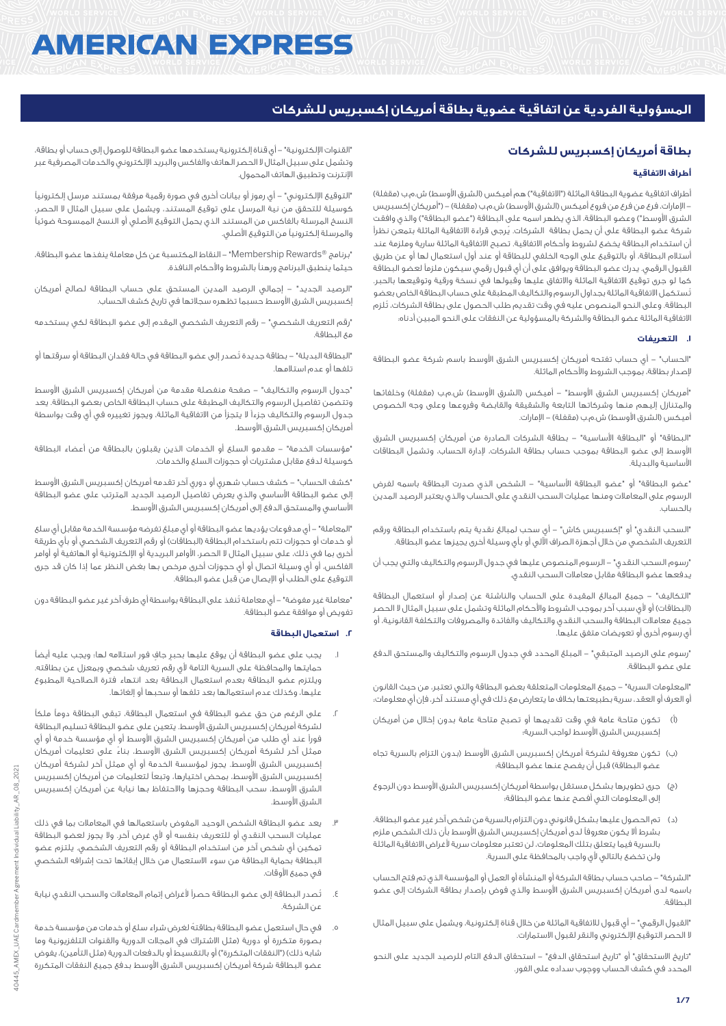# **AMERICAN EXPRESS**

# **المسؤولية الفردية عن اتفاقية عضوية بطاقة أمريكان إكسبريس للشركات**

# **بطاقة أمريكان إكسبريس للشركات**

# **أطراف االتفاقية**

أطراف اتفاقية عضوية البطاقة الماثلة ("الاتفاقية") هم أميكس (الشرق الأوسط) ش.م.ب (مقفلة) - الإمارات، فرع من فرع من فروع أميكس (الشرق الأوسط) ش.م.ب (مقفلة) – ("أمريكان إكسبريس الشرق الأوسط") وعضو البطاقة، الذي يظهر اسمه على البطاقة ("عضو البطاقة") والذي وافقت شركة عضو البطاقة على أن يحمل بطاقة الشركات. يُرجى قراءة االتفاقية الماثلة بتمعن نظراً أن استخدام البطاقة يخضع لشروط وأحكام االتفاقية. تصبح االتفاقية الماثلة سارية وملزمة عند أستالم البطاقة، أو بالتوقيع على الوجه الخلفي للبطاقة أو عند أول استعمال لها أو عن طريق القبول الرقمي. يدرك عضو البطاقة ويوافق على أن أي قبول رقمي سيكون ملزماً لعضو البطاقة كما لو جرى توقيع االتفاقية الماثلة واالتفاق عليها وقبولها في نسخة ورقية وتوقيعها بالحبر. تُستكمل االتفاقية الماثلة بجداول الرسوم والتكاليف المطبقة على حساب البطاقة الخاص بعضو البطاقة. وعلى النحو المنصوص عليه في وقت تقديم طلب الحصول على بطاقة الشركات، تُلزم االتفاقية الماثلة عضو البطاقة والشركة بالمسؤولية عن النفقات على النحو المبين أدناه:

# **.1 التعريفات**

"الحساب" - أي حساب تفتحه أمريكان إكسبريس الشرق األوسط باسم شركة عضو البطاقة إلصدار بطاقة، بموجب الشروط واألحكام الماثلة.

"أمريكان إكسبريس الشرق الأوسط" – أميكس (الشرق الأوسط) ش.م.ب (مقفلة) وخلفائها والمتنازل إليهم منها وشركاتها التابعة والشقيقة والقابضة وفروعها وعلى وجه الخصوص أميكس (الشرق الأوسط) ش.م.ب (مقفلة) – الإمارات.

"البطاقة" أو "البطاقة األساسية" - بطاقة الشركات الصادرة من أمريكان إكسبريس الشرق األوسط إلى عضو البطاقة بموجب حساب بطاقة الشركات، إلدارة الحساب، وتشمل البطاقات األساسية والبديلة.

"عضو البطاقة" أو "عضو البطاقة األساسية" - الشخص الذي صدرت البطاقة باسمه لفرض الرسوم على المعامالت ومنها عمليات السحب النقدي على الحساب والذي يعتبر الرصيد المدين بالحساب.

"السحب النقدي" أو "إكسبريس كاش" - أي سحب لمبالغ نقدية يتم باستخدام البطاقة ورقم التعريف الشخصي من خالل أجهزة الصراف اآللي أو بأي وسيلة أخرى يجيزها عضو البطاقة.

"رسوم السحب النقدي" - الرسوم المنصوص عليها في جدول الرسوم والتكاليف والتي يجب أن يدفعها عضو البطاقة مقابل معامالت السحب النقدي.

"التكاليف" - جميع المبالغ المقيدة على الحساب والناشئة عن إصدار أو استعمال البطاقة (البطاقات) أو لأى سبب آخر بموجب الشروط والأحكام الماثلة وتشمل على سبيل المثال لا الحصر جميع معامالت البطاقة والسحب النقدي والتكاليف والفائدة والمصروفات والتكلفة القانونية، أو أي رسوم أخرى أو تعويضات متفق عليها.

"رسوم على الرصيد المتبقي" - المبلغ المحدد في جدول الرسوم والتكاليف والمستحق الدفع على عضو البطاقة.

"المعلومات السرية" - جميع المعلومات المتعلقة بعضو البطاقة والتي تعتبر، من حيث القانون أو العرف أو العقد، سرية بطبيعتها بخالف ما يتعارض مع ذلك في أي مستند آخر، فإن أي معلومات:

- )أ( تكون متاحة عامة في وقت تقديمها أو تصبح متاحة عامة بدون إخالل من أمريكان إكسبريس الشرق األوسط لواجب السرية؛
- )ب( تكون معروفة لشركة أمريكان إكسبريس الشرق األوسط )بدون التزام بالسرية تجاه عضو البطاقة) قبل أن يفصح عنها عضو البطاقة؛
- )ج( جرى تطويرها بشكل مستقل بواسطة أمريكان إكسبريس الشرق األوسط دون الرجوع إلى المعلومات التي أفصح عنها عضو البطاقة؛
- )د( تم الحصول عليها بشكل قانوني دون التزام بالسرية من شخص آخر غير عضو البطاقة، بشرط أال يكون معروفاً لدى أمريكان إكسبريس الشرق األوسط بأن ذلك الشخص ملزم بالسرية فيما يتعلق بتلك المعلومات، لن تعتبر معلومات سرية ألغراض االتفاقية الماثلة ولن تخضع بالتالي ألي واجب بالمحافظة على السرية.

"الشركة" - صاحب حساب بطاقة الشركة أو المنشأة أو العمل أو المؤسسة الذي تم فتح الحساب باسمه لدى أمريكان إكسبريس الشرق األوسط والذي فوض بإصدار بطاقة الشركات إلى عضو البطاقة.

"القبول الرقمي" - أي قبول لالتفاقية الماثلة من خالل قناة إلكترونية، ويشمل على سبيل المثال ال الحصر التوقيع اإللكتروني والنقر لقبول االستمارات.

"تاريخ االستحقاق" أو "تاريخ استحقاق الدفع" - استحقاق الدفع التام للرصيد الجديد على النحو المحدد في كشف الحساب ووجوب سداده على الفور.

"القنوات اإللكترونية" - أي قناة إلكترونية يستخدمها عضو البطاقة للوصول إلى حساب أو بطاقة، وتشمل على سبيل المثال ال الحصر الهاتف والفاكس والبريد اإللكتروني والخدمات المصرفية عبر اإلنترنت وتطبيق الهاتف المحمول.

"التوقيع اإللكتروني" - أي رموز أو بيانات أخرى في صورة رقمية مرفقة بمستند مرسل إلكترونياً كوسيلة للتحقق من نية المرسل على توقيع المستند، ويشمل على سبيل المثال ال الحصر، النسخ المرسلة بالفاكس من المستند الذي يحمل التوقيع األصلي أو النسخ الممسوحة ضوئياً والمرسلة إلكترونياً من التوقيع األصلي.

"برنامج RRewards Membership "- النقاط المكتسبة عن كل معاملة ينفذها عضو البطاقة، حيثما ينطبق البرنامج ورهناً بالشروط واألحكام النافذة.

"الرصيد الجديد" - إجمالي الرصيد المدين المستحق على حساب البطاقة لصالح أمريكان إكسبريس الشرق األوسط حسبما تظهره سجالتها في تاريخ كشف الحساب.

"رقم التعريف الشخصي" - رقم التعريف الشخصي المقدم إلى عضو البطاقة لكي يستخدمه مع البطاقة.

"البطاقة البديلة" - بطاقة جديدة تُصدر إلى عضو البطاقة في حالة فقدان البطاقة أو سرقتها أو تلفها أو عدم استالمها.

"جدول الرسوم والتكاليف" - صفحة منفصلة مقدمة من أمريكان إكسبريس الشرق األوسط وتتضمن تفاصيل الرسوم والتكاليف المطبقة على حساب البطاقة الخاص بعضو البطاقة. يعد جدول الرسوم والتكاليف جزءاً ال يتجزأ من االتفاقية الماثلة، ويجوز تغييره في أي وقت بواسطة أمريكان إكسبريس الشرق الأوسط.

"مؤسسات الخدمة" - مقدمو السلع أو الخدمات الذين يقبلون بالبطاقة من أعضاء البطاقة كوسيلة لدفع مقابل مشتريات أو حجوزات السلع والخدمات.

"كشف الحساب" - كشف حساب شهري أو دوري آخر تقدمه أمريكان إكسبريس الشرق األوسط إلى عضو البطاقة األساسي والذي يعرض تفاصيل الرصيد الجديد المترتب على عضو البطاقة الأساسي والمستحق الدفع إلى أمريكان إكسبريس الشرق الأوسط.

"المعاملة" - أي مدفوعات يؤديها عضو البطاقة أو أي مبلغ تفرضه مؤسسة الخدمة مقابل أي سلع أو خدمات أو حجوزات تتم باستخدام البطاقة )البطاقات( أو رقم التعريف الشخصي أو بأي طريقة أخرى بما في ذلك، على سبيل المثال ال الحصر، األوامر البريدية أو اإللكترونية أو الهاتفية أو أوامر الفاكس، أو أي وسيلة اتصال أو أي حجوزات أخرى مرخص بها بغض النظر عما إذا كان قد جرى التوقيع على الطلب أو اإليصال من قبل عضو البطاقة.

"معاملة غير مفوضة" - أي معاملة تُنفذ على البطاقة بواسطة أي طرف آخر غير عضو البطاقة دون تفويض أو موافقة عضو البطاقة.

# **.2 استعمال البطاقة**

- .1 يجب على عضو البطاقة أن يوقع عليها بحبرٍ جافٍ فور استالمه لها؛ ويجب عليه أيضاً حمايتها والمحافظة على السرية التامة ألي رقم تعريف شخصي وبمعزل عن بطاقته. ويلتزم عضو البطاقة بعدم استعمال البطاقة بعد انتهاء فترة الصالحية المطبوع عليها، وكذلك عدم استعمالها بعد تلفها أو سحبها أو إلغائها.
- .2 على الرغم من حق عضو البطاقة في استعمال البطاقة، تبقى البطاقة دوماً ملكاً لشركة أمريكان إكسبريس الشرق األوسط. يتعين على عضو البطاقة تسليم البطاقة فوراً عند أي طلب من أمريكان إكسبريس الشرق األوسط أو أي مؤسسة خدمة أو أي ممثل آخر لشركة أمريكان إكسبريس الشرق األوسط، بناءً على تعليمات أمريكان إكسبريس الشرق األوسط. يجوز لمؤسسة الخدمة أو أي ممثل آخر لشركة أمريكان إكسبريس الشرق األوسط، بمحض اختيارها، وتبعاً لتعليمات من أمريكان إكسبريس الشرق األوسط، سحب البطاقة وحجزها واالحتفاظ بها نيابة عن أمريكان إكسبريس الشرق الأوسط.
- يعد عضو البطاقة الشخص الوحيد المفوض باستعمالها في المعاملات بما في ذلك عمليات السحب النقدي أو للتعريف بنفسه أو ألي غرض آخر. وال يجوز لعضو البطاقة تمكين أي شخص آخر من استخدام البطاقة أو رقم التعريف الشخصي. يلتزم عضو البطاقة بحماية البطاقة من سوء االستعمال من خالل إبقائها تحت إشرافه الشخصي في جميع الأوقات.
- .4 تُصدر البطاقة إلى عضو البطاقة حصراً ألغراض إتمام المعامالت والسحب النقدي نيابة عن الشركة.
- .5 في حال استعمل عضو البطاقة بطاقتهُ لغرض شراء سلع أو خدمات من مؤسسة خدمة بصورة متكررة أو دورية (مثل الاشتراك في المجلات الدورية والقنوات التلفزيونية وما شابه ذلك) ("النفقات المتكررة") أو بالتقسيط أو بالدفعات الدورية (مثل التأمين)، يفوض عضو البطاقة شركة أمريكان إكسبريس الشرق الأوسط بدفع جميع النفقات المتكررة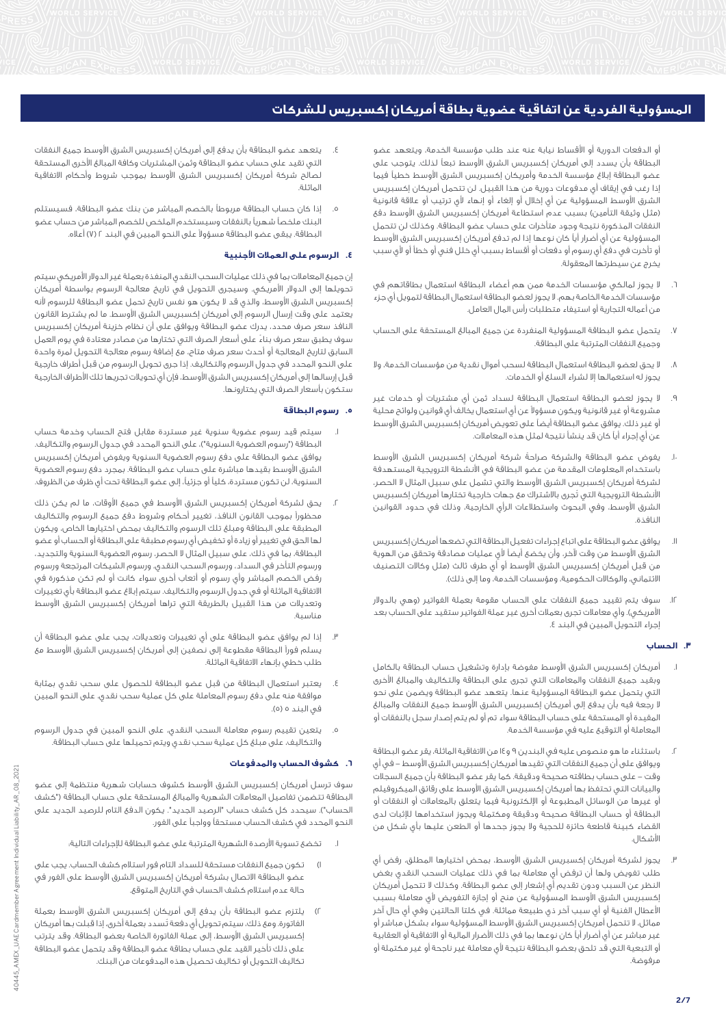أو الدفعات الدورية أو األقساط نيابة عنه عند طلب مؤسسة الخدمة، ويتعهد عضو البطاقة بأن يسدد إلى أمريكان إكسبريس الشرق األوسط تبعاً لذلك. يتوجب على عضو البطاقة إبالغ مؤسسة الخدمة وأمريكان إكسبريس الشرق األوسط خطياً فيما إذا رغب في إيقاف أي مدفوعات دورية من هذا القبيل. لن تتحمل أمريكان إكسبريس الشرق األوسط المسؤولية عن أي إخالل أو إلغاء أو إنهاء ألي ترتيب أو عالقة قانونية (مثل وثيقة التأمين) بسبب عدم استطاعة أمريكان إكسبريس الشرق الأوسط دفع النفقات المذكورة نتيجة وجود متأخرات على حساب عضو البطاقة. وكذلك لن تتحمل المسؤولية عن أي أضرار أياً كان نوعها إذا لم تدفع أمريكان إكسبريس الشرق األوسط أو تأخرت في دفع أي رسوم أو دفعات أو أقساط بسبب أي خلل فني أو خطأ أو ألي سبب يخرج عن سيطرتها المعقولة.

- .6 ال يجوز لمالكي مؤسسات الخدمة ممن هم أعضاء البطاقة استعمال بطاقاتهم في مؤسسات الخدمة الخاصة بهم. ال يجوز لعضو البطاقة استعمال البطاقة لتمويل أي جزء من أعماله التجارية أو استيفاء متطلبات رأس المال العامل.
- .7 يتحمل عضو البطاقة المسؤولية المنفردة عن جميع المبالغ المستحقة على الحساب وجميع النفقات المترتبة على البطاقة.
- .8 ال يحق لعضو البطاقة استعمال البطاقة لسحب أموال نقدية من مؤسسات الخدمة، وال يجوز له استعمالها إال لشراء السلع أو الخدمات.
- .9 ال يجوز لعضو البطاقة استعمال البطاقة لسداد ثمن أي مشتريات أو خدمات غير مشروعة أو غير قانونية ويكون مسؤوالً عن أي استعمال يخالف أي قوانين ولوائح محلية .<br>أو غير ذلك. يوافق عضو البطاقة أيضاً على تعويض أمريكان إكسبريس الشرق الأوسط عن أي إجراء أياً كان قد ينشأ نتيجة لمثل هذه المعامالت.
- .ا. يفوض عضو البطاقة والشركة صراحةً شركة أمريكان إكسبريس الشرق الأوسط باستخدام المعلومات المقدمة من عضو البطاقة في األنشطة الترويجية المستهدفة لشركة أمريكان إكسبريس الشرق األوسط والتي تشمل على سبيل المثال ال الحصر، األنشطة الترويجية التي تُجرى باالشتراك مع جهات خارجية تختارها أمريكان إكسبريس الشرق األوسط، وفي البحوث واستطالعات الرأي الخارجية، وذلك في حدود القوانين النافذة.
- .11 يوافق عضو البطاقة على اتباع إجراءات تفعيل البطاقة التي تضعها أمريكان إكسبريس الشرق األوسط من وقت آلخر، وأن يخضع أيضاً ألي عمليات مصادقة وتحقق من الهوية من قبل أمريكان إكسبريس الشرق الأوسط أو أي طرف ثالث (مثل وكالات التصنيف الائتماني، والوكالات الحكومية، ومؤسسات الخدمة، وما إلى ذلك).
- .12 سوف يتم تقييد جميع النفقات على الحساب مقومة بعملة الفواتير )وهي بالدوالر الأمريكي). وأي معاملات تجرى بعملات أخرى غير عملة الفواتير ستقيد على الحساب بعد إجراء التحويل المبين في البند .4

# **.3 الحساب**

- .1 أمريكان إكسبريس الشرق األوسط مفوضة بإدارة وتشغيل حساب البطاقة بالكامل وبقيد جميع النفقات والمعامالت التي تجرى على البطاقة والتكاليف والمبالغ األخرى التي يتحمل عضو البطاقة المسؤولية عنها. يتعهد عضو البطاقة ويضمن على نحو ال رجعة فيه بأن يدفع إلى أمريكان إكسبريس الشرق األوسط جميع النفقات والمبالغ المقيدة أو المستحقة على حساب البطاقة سواء تم أو لم يتم إصدار سجل بالنفقات أو المعاملة أو التوقيع عليه في مؤسسة الخدمة.
- .2 باستثناء ما هو منصوص عليه في البندين 9 و14 من االتفاقية الماثلة، يقر عضو البطاقة ويوافق على أن جميع النفقات التي تقيدها أمريكان إكسبريس الشرق الأوسط – في أي وقت - على حساب بطاقته صحيحة ودقيقة. كما يقر عضو البطاقة بأن جميع السجالت والبيانات التي تحتفظ بها أمريكان إكسبريس الشرق األوسط على رقائق الميكروفيلم أو غيرها من الوسائل المطبوعة أو اإللكترونية فيما يتعلق بالمعامالت أو النفقات أو البطاقة أو حساب البطاقة صحيحة ودقيقة ومكتملة ويجوز استخدامها لإلثبات لدى القضاء كبينة قاطعة حائزة للحجية وال يجوز جحدها أو الطعن عليها بأي شكل من األشكال.
- يجوز لشركة أمريكان إكسبريس الشرق الأوسط، بمحض اختيارها المطلق، رفض أي طلب تفويض ولها أن ترفض أي معاملة بما في ذلك عمليات السحب النقدي بغض النظر عن السبب ودون تقديم أي إشعار إلى عضو البطاقة. وكذلك ال تتحمل أمريكان إكسبريس الشرق الأوسط المسؤولية عن منح أو إجازة التفويض لأى معاملة بسبب األعطال الفنية أو أي سبب آخر ذي طبيعة مماثلة. في كلتا الحالتين وفي أي حال آخر مماثل، ال تتحمل أمريكان إكسبريس الشرق األوسط المسؤولية سواء بشكل مباشر أو غير مباشر عن أي أضرار أياً كان نوعها بما في ذلك األضرار المالية أو االتفاقية أو العقابية أو التبعية التي قد تلحق بعضو البطاقة نتيجة ألي معاملة غير ناجحة أو غير مكتملة أو مرفوضة.
- يتعهد عضو البطاقة بأن يدفع إلى أمريكان إكسبريس الشرق الأوسط جميع النفقات التي تقيد على حساب عضو البطاقة وثمن المشتريات وكافة المبالغ األخرى المستحقة لصالح شركة أمريكان إكسبريس الشرق األوسط بموجب شروط وأحكام االتفاقية الماثلة.
- .5 إذا كان حساب البطاقة مربوطاً بالخصم المباشر من بنك عضو البطاقة، فسيستلم البنك ملخصاً شهرياً بالنفقات وسيستخدم الملخص للخصم المباشر من حساب عضو البطاقة. يبقى عضو البطاقة مسؤوالً على النحو المبين في البند 2 )7( أعاله.

# **.4 الرسوم على العمالت األجنبية**

إن جميع المعامالت بما في ذلك عمليات السحب النقدي المنفذة بعملة غير الدوالر األمريكي سيتم تحويلها إلى الدوالر األمريكي. وسيجرى التحويل في تاريخ معالجة الرسوم بواسطة أمريكان إكسبريس الشرق األوسط، والذي قد ال يكون هو نفس تاريخ تحمل عضو البطاقة للرسوم ألنه يعتمد على وقت إرسال الرسوم إلى أمريكان إكسبريس الشرق األوسط. ما لم يشترط القانون النافذ سعر صرف محدد، يدرك عضو البطاقة ويوافق على أن نظام خزينة أمريكان إكسبريس سوف يطبق سعر صرف بناءً على أسعار الصرف التي تختارها من مصادر معتادة في يوم العمل السابق لتاريخ المعالجة أو أحدث سعر صرف متاح، مع إضافة رسوم معالجة التحويل لمرة واحدة على النحو المحدد في جدول الرسوم والتكاليف. إذا جرى تحويل الرسوم من قبل أطراف خارجية قبل إرسالها إلى أمريكان إكسبريس الشرق األوسط، فإن أي تحويالت تجريها تلك األطراف الخارجية ستكون بأسعار الصرف التي يختارونها.

## **.5 رسوم البطاقة**

- سيتم قيد رسوم عضوية سنوية غير مستردة مقابل فتح الحساب وخدمة حساب البطاقة ("رسوم العضوية السنوية")، على النحو المحدد في جدول الرسوم والتكاليف. يوافق عضو البطاقة على دفع رسوم العضوية السنوية ويفوض أمريكان إكسبريس الشرق األوسط بقيدها مباشرة على حساب عضو البطاقة. بمجرد دفع رسوم العضوية السنوية، لن تكون مستردة، كلياً أو جزئيا،ً إلى عضو البطاقة تحت أي ظرف من الظروف.
- يحق لشركة أمريكان إكسبريس الشرق الأوسط في جميع الأوقات، ما لم يكن ذلك محظوراً بموجب القانون النافذ، تغيير أحكام وشروط دفع جميع الرسوم والتكاليف المطبقة على البطاقة ومبلغ تلك الرسوم والتكاليف بمحض اختيارها الخاص، ويكون لها الحق في تغيير أو زيادة أو تخفيض أي رسوم مطبقة على البطاقة أو الحساب أو عضو البطاقة، بما في ذلك، على سبيل المثال ال الحصر، رسوم العضوية السنوية والتجديد، ورسوم التأخر في السداد، ورسوم السحب النقدي، ورسوم الشيكات المرتجعة ورسوم رفض الخصم المباشر وأي رسوم أو أتعاب أخرى سواء كانت أو لم تكن مذكورة في االتفاقية الماثلة أو في جدول الرسوم والتكاليف. سيتم إبالغ عضو البطاقة بأي تغييرات وتعديالت من هذا القبيل بالطريقة التي تراها أمريكان إكسبريس الشرق األوسط مناسبة.
- .3 إذا لم يوافق عضو البطاقة على أي تغييرات وتعديالت، يجب على عضو البطاقة أن يسلم فوراً البطاقة مقطوعة إلى نصفين إلى أمريكان إكسبريس الشرق األوسط مع طلب خطي بإنهاء االتفاقية الماثلة.
- يعتبر استعمال البطاقة من قبل عضو البطاقة للحصول على سحب نقدى بمثابة موافقة منه على دفع رسوم المعاملة على كل عملية سحب نقدي، على النحو المبين في البند ٥ (٥).
- .5 يتعين تقييم رسوم معاملة السحب النقدي، على النحو المبين في جدول الرسوم والتكاليف، على مبلغ كل عملية سحب نقدي ويتم تحميلها على حساب البطاقة.

## **.6 كشوف الحساب والمدفوعات**

سوف ترسل أمريكان إكسبريس الشرق الأوسط كشوف حسابات شهرية منتظمة إلى عضو البطاقة تتضمن تفاصيل المعامالت الشهرية والمبالغ المستحقة على حساب البطاقة )"كشف الحساب"). سيحدد كل كشف حساب "الرصيد الجديد". يكون الدفع التام للرصيد الجديد على النحو المحدد في كشف الحساب مستحقاً وواجباً على الفور.

- تخضع تسوية الأرصدة الشهرية المترتبة على عضو البطاقة للإجراءات التالية:
- 1( تكون جميع النفقات مستحقة للسداد التام فور استالم كشف الحساب. يجب على عضو البطاقة االتصال بشركة أمريكان إكسبريس الشرق األوسط على الفور في حالة عدم استالم كشف الحساب في التاريخ المتوقع.
- 2( يلتزم عضو البطاقة بأن يدفع إلى أمريكان إكسبريس الشرق األوسط بعملة الفاتورة. ومع ذلك، سيتم تحويل أي دفعة تُسدد بعملة أخرى، إذا قبلت بها أمريكان إكسبريس الشرق األوسط، إلى عملة الفاتورة الخاصة بعضو البطاقة. وقد يترتب على ذلك تأخير القيد على حساب بطاقة عضو البطاقة وقد يتحمل عضو البطاقة تكاليف التحويل أو تكاليف تحصيل هذه المدفوعات من البنك.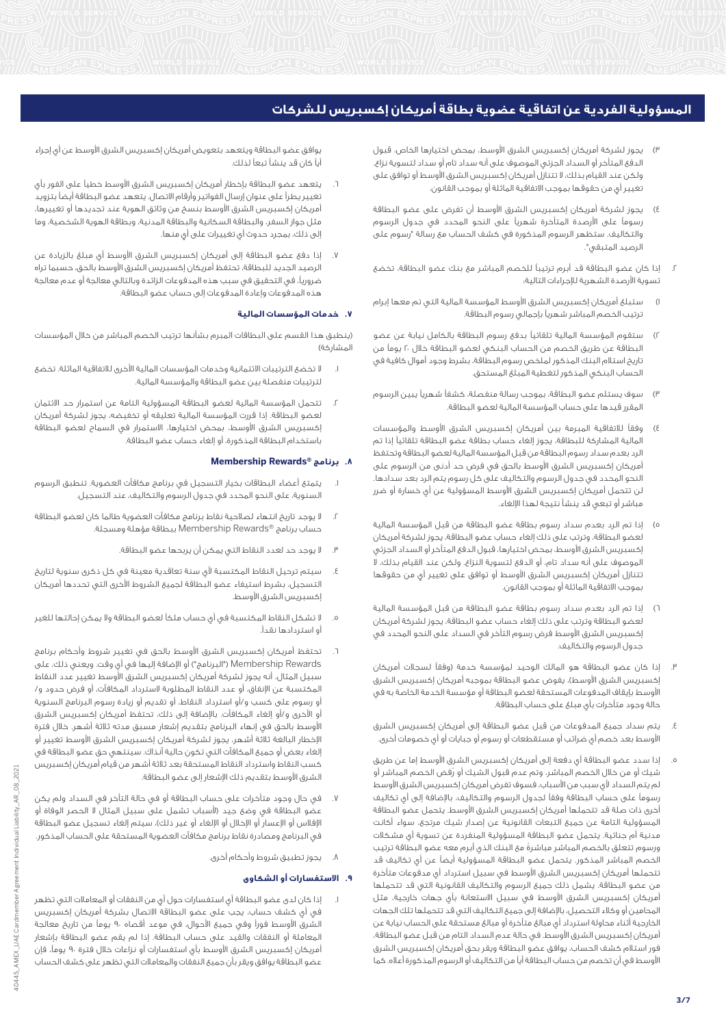- يجوز لشركة أمريكان إكسبريس الشرق الأوسط، بمحض اختيارها الخاص، قبول الدفع المتأخر أو السداد الجزئي الموصوف على أنه سداد تام أو سداد لتسوية نزاع. ولكن عند القيام بذلك، ال تتنازل أمريكان إكسبريس الشرق األوسط أو توافق على تغيير أي من حقوقها بموجب الاتفاقية الماثلة أو بموجب القانون.
- 4( يجوز لشركة أمريكان إكسبريس الشرق األوسط أن تفرض على عضو البطاقة رسوماً على األرصدة المتأخرة شهرياً على النحو المحدد في جدول الرسوم والتكاليف. ستظهر الرسوم المذكورة في كشف الحساب مع رسالة "رسوم على الرصيد المتبقي".
- .2 إذا كان عضو البطاقة قد أبرم ترتيباً للخصم المباشر مع بنك عضو البطاقة، تخضع تسوية الأرصدة الشهرية للإجراءات التالية:
- 1( ستبلغ أمريكان إكسبريس الشرق األوسط المؤسسة المالية التي تم معها إبرام ترتيب الخصم المباشر شهرياً بإجمالي رسوم البطاقة.
- 2( ستقوم المؤسسة المالية تلقائياً بدفع رسوم البطاقة بالكامل نيابة عن عضو البطاقة عن طريق الخصم من الحساب البنكي لعضو البطاقة خالل 20 يوماً من تاريخ استالم البنك المذكور لملخص رسوم البطاقة، بشرط وجود أموال كافية في الحساب البنكي المذكور لتغطية المبلغ المستحق.
- 3( سوف يستلم عضو البطاقة، بموجب رسالة منفصلة، كشفاً شهرياً يبين الرسوم المقرر قيدها على حساب المؤسسة المالية لعضو البطاقة.
- 4( وفقاً لالتفاقية المبرمة بين أمريكان إكسبريس الشرق األوسط والمؤسسات المالية المشاركة للبطاقة، يجوز إلغاء حساب بطاقة عضو البطاقة تلقائياً إذا تم الرد بعدم سداد رسوم البطاقة من قبل المؤسسة المالية لعضو البطاقة وتحتفظ أمريكان إكسبريس الشرق األوسط بالحق في فرض حد أدنى من الرسوم على النحو المحدد في جدول الرسوم والتكاليف على كل رسوم يتم الرد بعد سدادها. لن تتحمل أمريكان إكسبريس الشرق األوسط المسؤولية عن أي خسارة أو ضرر مباشر أو تبعي قد ينشأ نتيجة لهذا اإللغاء.
- 5( إذا تم الرد بعدم سداد رسوم بطاقة عضو البطاقة من قبل المؤسسة المالية لعضو البطاقة، وترتب على ذلك إلغاء حساب عضو البطاقة، يجوز لشركة أمريكان إكسبريس الشرق الأوسط، بمحض اختيارها، قبول الدفع المتأخر أو السداد الجزئي الموصوف على أنه سداد تام، أو الدفع لتسوية النزاع. ولكن عند القيام بذلك، ال تتنازل أمريكان إكسبريس الشرق الأوسط أو توافق على تغيير أي من حقوقها بموجب االتفاقية الماثلة أو بموجب القانون.
- 6( إذا تم الرد بعدم سداد رسوم بطاقة عضو البطاقة من قبل المؤسسة المالية لعضو البطاقة وترتب على ذلك إلغاء حساب عضو البطاقة، يجوز لشركة أمريكان إكسبريس الشرق األوسط فرض رسوم التأخر في السداد على النحو المحدد في جدول الرسوم والتكاليف.
- .3 إذا كان عضو البطاقة هو المالك الوحيد لمؤسسة خدمة )وفقاً لسجالت أمريكان إكسبريس الشرق الأوسط)، يفوض عضو البطاقة بموجبه أمريكان إكسبريس الشرق األوسط بإيقاف المدفوعات المستحقة لعضو البطاقة أو مؤسسة الخدمة الخاصة به في حالة وجود متأخرات بأي مبلغ على حساب البطاقة.
- .4 يتم سداد جميع المدفوعات من قبل عضو البطاقة إلى أمريكان إكسبريس الشرق األوسط بعد خصم أي ضرائب أو مستقطعات أو رسوم أو جبايات أو أي خصومات أخرى.
- .5 إذا سدد عضو البطاقة أي دفعة إلى أمريكان إكسبريس الشرق األوسط إما عن طريق شيك أو من خالل الخصم المباشر، وتم عدم قبول الشيك أو رُفض الخصم المباشر أو لم يتم السداد لأى سبب من الأسباب، فسوف تفرض أمريكان إكسبريس الشرق الأوسط رسوماً على حساب البطاقة وفقاً لجدول الرسوم والتكاليف، باإلضافة إلى أي تكاليف أخرى ذات صلة قد تتحملها أمريكان إكسبريس الشرق األوسط. يتحمل عضو البطاقة المسؤولية التامة عن جميع التبعات القانونية عن إصدار شيك مرتجع، سواء أكانت مدنية أم جنائية. يتحمل عضو البطاقة المسؤولية المنفردة عن تسوية أي مشكالت ورسوم تتعلق بالخصم المباشر مباشرةً مع البنك الذي أبرم معه عضو البطاقة ترتيب الخصم المباشر المذكور. يتحمل عضو البطاقة المسؤولية أيضاً عن أي تكاليف قد تتحملها أمريكان إكسبريس الشرق األوسط في سبيل استرداد أي مدفوعات متأخرة من عضو البطاقة. يشمل ذلك جميع الرسوم والتكاليف القانونية التي قد تتحملها أمريكان إكسبريس الشرق األوسط في سبيل االستعانة بأي جهات خارجية، مثل المحامين أو وكالء التحصيل، باإلضافة إلى جميع التكاليف التي قد تتحملها تلك الجهات الخارجية أثناء محاولة استرداد أي مبالغ متأخرة أو مبالغ مستحقة على الحساب نيابة عن أمريكان إكسبريس الشرق األوسط. في حالة عدم السداد التام من قبل عضو البطاقة، فور استالم كشف الحساب، يوافق عضو البطاقة ويقر بحق أمريكان إكسبريس الشرق األوسط في أن تخصم من حساب البطاقة أياً من التكاليف أو الرسوم المذكورة أعاله. كما

يوافق عضو البطاقة ويتعهد بتعويض أمريكان إكسبريس الشرق الأوسط عن أى إجراء أياً كان قد ينشأ تبعاً لذلك.

- .6 يتعهد عضو البطاقة بإخطار أمريكان إكسبريس الشرق األوسط خطياً على الفور بأي تغيير يطرأ على عنوان إرسال الفواتير وأرقام االتصال. يتعهد عضو البطاقة أيضاً بتزويد أمريكان إكسبريس الشرق األوسط بنسخ من وثائق الهوية عند تجديدها أو تغييرها، مثل جواز السفر، والبطاقة السكانية والبطاقة المدنية، وبطاقة الهوية الشخصية، وما إلى ذلك، بمجرد حدوث أي تغييرات على أيٍ منها.
- .7 إذا دفع عضو البطاقة إلى أمريكان إكسبريس الشرق األوسط أي مبلغ بالزيادة عن الرصيد الجديد للبطاقة، تحتفظ أمريكان إكسبريس الشرق األوسط بالحق، حسبما تراه ضروريا،ً في التحقيق في سبب هذه المدفوعات الزائدة وبالتالي معالجة أو عدم معالجة هذه المدفوعات وإعادة المدفوعات إلى حساب عضو البطاقة.

## **.7 خدمات المؤسسات المالية**

)ينطبق هذا القسم على البطاقات المبرم بشأنها ترتيب الخصم المباشر من خالل المؤسسات المشاركة(

- .1 ال تخضع الترتيبات االئتمانية وخدمات المؤسسات المالية األخرى لالتفاقية الماثلة. تخضع لترتيبات منفصلة بين عضو البطاقة والمؤسسة المالية.
- .2 تتحمل المؤسسة المالية لعضو البطاقة المسؤولية التامة عن استمرار حد االئتمان لعضو البطاقة. إذا قررت المؤسسة المالية تعليقه أو تخفيضه، يجوز لشركة أمريكان إكسبريس الشرق األوسط، بمحض اختيارها، االستمرار في السماح لعضو البطاقة باستخدام البطاقة المذكورة، أو إلغاء حساب عضو البطاقة.

#### **Membership Rewards® برنامج .8**

- .1 يتمتع أعضاء البطاقات بخيار التسجيل في برنامج مكافآت العضوية. تنطبق الرسوم السنوية، على النحو المحدد في جدول الرسوم والتكاليف، عند التسجيل.
- .2 ال يوجد تاريخ انتهاء لصالحية نقاط برنامج مكافآت العضوية طالما كان لعضو البطاقة حساب برنامج RRewards Membership ببطاقة مؤهلة ومسجلة.
	- .3 ال يوجد حد لعدد النقاط التي يمكن أن يربحها عضو البطاقة.
- سيتم ترحيل النقاط المكتسبة لأى سنة تعاقدية معينة فى كل ذكرى سنوية لتاريخ التسجيل، بشرط استيفاء عضو البطاقة لجميع الشروط األخرى التي تحددها أمريكان إكسبريس الشرق الأوسط.
- .5 ال تشكل النقاط المكتسبة في أي حساب ملكاً لعضو البطاقة وال يمكن إحالتها للغير أو استردادها نقدا.ً
- تحتفظ أمريكان إكسبريس الشرق الأوسط بالحق في تغيير شروط وأحكام برنامج Rewards Membership"( البرنامج"( أو اإلضافة إليها في أي وقت. ويعني ذلك، على سبيل المثال، أنه يجوز لشركة أمريكان إكسبريس الشرق األوسط تغيير عدد النقاط المكتسبة عن اإلنفاق، أو عدد النقاط المطلوبة السترداد المكافآت، أو فرض حدود و/ أو رسوم على كسب و/أو استرداد النقاط، أو تقديم أو زيادة رسوم البرنامج السنوية أو األخرى و/أو إلغاء المكافآت. باإلضافة إلى ذلك، تحتفظ أمريكان إكسبريس الشرق األوسط بالحق في إنهاء البرنامج بتقديم إشعار مسبق مدته ثالثة أشهر. خالل فترة الإخطار البالغة ثلاثة أشهر، يجوز لشركة أمريكان إكسبريس الشرق الأوسط تغيير أو إلغاء بعض أو جميع المكافآت التي تكون حالية آنذاك. سينتهي حق عضو البطاقة في كسب النقاط واسترداد النقاط المستحقة بعد ثالثة أشهر من قيام أمريكان إكسبريس الشرق األوسط بتقديم ذلك اإلشعار إلى عضو البطاقة.
- .7 في حال وجود متأخرات على حساب البطاقة أو في حالة التأخر في السداد ولم يكن عضو البطاقة في وضع جيد (لأسباب تشمل على سبيل المثال لا الحصر الوفاة أو الإفلاس أو الإعسار أو الإخلال أو الإلغاء أو غير ذلك)، سيتم إلغاء تسجيل عضو البطاقة في البرنامج ومصادرة نقاط برنامج مكافآت العضوية المستحقة على الحساب المذكور.
	- .8 يجوز تطبيق شروط وأحكام أخرى.

## **.9 االستفسارات أو الشكاوى**

.1 إذا كان لدى عضو البطاقة أي استفسارات حول أيٍ من النفقات أو المعامالت التي تظهر في أي كشف حساب، يجب على عضو البطاقة االتصال بشركة أمريكان إكسبريس الشرق األوسط فوراً وفي جميع األحوال، في موعد أقصاه 90 يوماً من تاريخ معالجة المعاملة أو النفقات والقيد على حساب البطاقة. إذا لم يقم عضو البطاقة بإشعار أمريكان إكسبريس الشرق األوسط بأي استفسارات أو نزاعات خالل فترة 90 يوما،ً فإن عضو البطاقة يوافق ويقر بأن جميع النفقات والمعامالت التي تظهر على كشف الحساب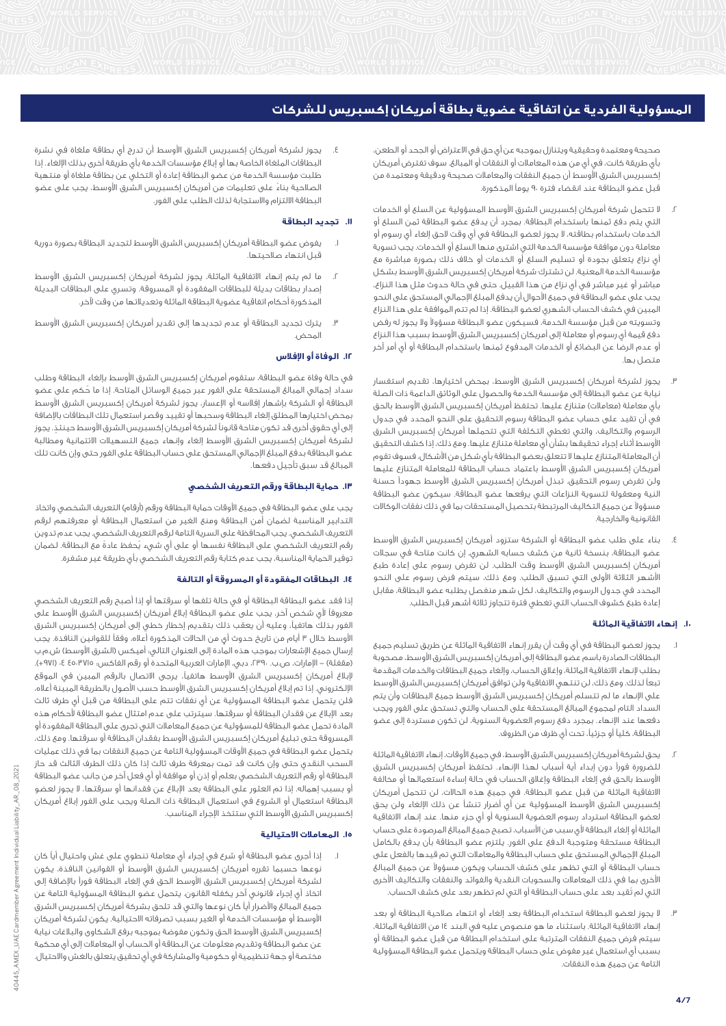صحيحة ومعتمدة وحقيقية ويتنازل بموجبه عن أي حق في االعتراض أو الجحد أو الطعن، بأي طريقة كانت، في أي من هذه المعامالت أو النفقات أو المبالغ. سوف تفترض أمريكان إكسبريس الشرق األوسط أن جميع النفقات والمعامالت صحيحة ودقيقة ومعتمدة من قبل عضو البطاقة عند انقضاء فترة 90 يوماً المذكورة.

- .2 ال تتحمل شركة أمريكان إكسبريس الشرق األوسط المسؤولية عن السلع أو الخدمات التي يتم دفع ثمنها باستخدام البطاقة. بمجرد أن يدفع عضو البطاقة ثمن السلع أو الخدمات باستخدام بطاقته، ال يجوز لعضو البطاقة في أي وقت الحق إلغاء أي رسوم أو معاملة دون موافقة مؤسسة الخدمة التي اشترى منها السلع أو الخدمات. يجب تسوية أي نزاع يتعلق بجودة أو تسليم السلع أو الخدمات أو خالف ذلك بصورة مباشرة مع مؤسسة الخدمة المعنية. لن تشترك شركة أمريكان إكسبريس الشرق األوسط بشكل مباشر أو غير مباشر في أي نزاع من هذا القبيل. حتى في حالة حدوث مثل هذا النزاع، يجب على عضو البطاقة في جميع األحوال أن يدفع المبلغ اإلجمالي المستحق على النحو المبين في كشف الحساب الشهري لعضو البطاقة. إذا لم تتم الموافقة على هذا النزاع وتسويته من قبل مؤسسة الخدمة، فسيكون عضو البطاقة مسؤوالً وال يجوز له رفض دفع قيمة أي رسوم أو معاملة إلى أمريكان إكسبريس الشرق األوسط بسبب هذا النزاع أو عدم الرضا عن البضائع أو الخدمات المدفوع ثمنها باستخدام البطاقة أو أي أمر آخر متصل بها.
- .3 يجوز لشركة أمريكان إكسبريس الشرق األوسط، بمحض اختيارها، تقديم استفسار نيابة عن عضو البطاقة إلى مؤسسة الخدمة والحصول على الوثائق الداعمة ذات الصلة بأي معاملة (معاملات) متنازع عليها. تحتفظ أمريكان إكسبريس الشرق الأوسط بالحق في أن تقيد على حساب عضو البطاقة رسوم التحقيق على النحو المحدد في جدول الرسوم والتكاليف، والتي تغطي التكلفة التي تتحملها أمريكان إكسبريس الشرق األوسط أثناء إجراء تحقيقها بشأن أي معاملة متنازع عليها. ومع ذلك، إذا كشف التحقيق أن المعاملة المتنازع عليها ال تتعلق بعضو البطاقة بأي شكل من األشكال، فسوف تقوم أمريكان إكسبريس الشرق األوسط باعتماد حساب البطاقة للمعاملة المتنازع عليها ولن تفرض رسوم التحقيق. تبذل أمريكان إكسبريس الشرق األوسط جهوداً حسنة النية ومعقولة لتسوية النزاعات التي يرفعها عضو البطاقة. سيكون عضو البطاقة مسؤوالً عن جميع التكاليف المرتبطة بتحصيل المستحقات بما في ذلك نفقات الوكاالت القانونية والخارجية.
- بناء على طلب عضو البطاقة أو الشركة ستزود أمريكان إكسبريس الشرق الأوسط عضو البطاقة، بنسخة ثانية من كشف حسابه الشهري، إن كانت متاحة في سجالت أمريكان إكسبريس الشرق األوسط وقت الطلب. لن تفرض رسوم على إعادة طبع األشهر الثالثة األولى التي تسبق الطلب. ومع ذلك، سيتم فرض رسوم على النحو المحدد في جدول الرسوم والتكاليف، لكل شهر منفصل يطلبه عضو البطاقة، مقابل إعادة طبع كشوف الحساب التي تغطي فترة تتجاوز ثالثة أشهر قبل الطلب.

# **.10 إنهاء االتفاقية الماثلة**

- يجوز لعضو البطاقة في أي وقت أن يقرر إنهاء الاتفاقية الماثلة عن طريق تسليم جميع البطاقات الصادرة باسم عضو البطاقة إلى أمريكان إكسبريس الشرق األوسط، مصحوبة بطلب إلنهاء االتفاقية الماثلة، وإغالق الحساب، وإلغاء جميع البطاقات والخدمات المقدمة تبعاً لذلك. ومع ذلك، لن تنتهي االتفاقية ولن توافق أمريكان إكسبريس الشرق األوسط على اإلنهاء ما لم تتسلم أمريكان إكسبريس الشرق األوسط جميع البطاقات وأن يتم السداد التام لمجموع المبالغ المستحقة على الحساب والتي تستحق على الفور ويجب دفعها عند اإلنهاء. بمجرد دفع رسوم العضوية السنوية، لن تكون مستردة إلى عضو البطاقة، كلياً أو جزئيا،ً تحت أي ظرف من الظروف.
- .2 يحق لشركة أمريكان إكسبريس الشرق األوسط، في جميع األوقات، إنهاء االتفاقية الماثلة للضرورة فوراً دون إبداء أية أسباب لهذا اإلنهاء. تحتفظ أمريكان إكسبريس الشرق األوسط بالحق في إلغاء البطاقة وإغالق الحساب في حالة إساءة استعمالها أو مخالفة االتفاقية الماثلة من قبل عضو البطاقة. في جميع هذه الحاالت، لن تتحمل أمريكان إكسبريس الشرق األوسط المسؤولية عن أي أضرار تنشأ عن ذلك اإللغاء ولن يحق لعضو البطاقة استرداد رسوم العضوية السنوية أو أي جزء منها. عند إنهاء االتفاقية الماثلة أو إلغاء البطاقة ألي سبب من األسباب، تصبح جميع المبالغ المرصودة على حساب البطاقة مستحقة ومتوجبة الدفع على الفور. يلتزم عضو البطاقة بأن يدفع بالكامل المبلغ اإلجمالي المستحق على حساب البطاقة والمعامالت التي تم قيدها بالفعل على حساب البطاقة أو التي تظهر على كشف الحساب ويكون مسؤوالً عن جميع المبالغ الأخرى بما في ذلك المعاملات والسحوبات النقدية والفوائد والنفقات والتكاليف الأخرى التي لم تُقيد بعد على حساب البطاقة أو التي لم تظهر بعد على كشف الحساب.
- .3 ال يجوز لعضو البطاقة استخدام البطاقة بعد إلغاء أو انتهاء صالحية البطاقة أو بعد إنهاء االتفاقية الماثلة. باستثناء ما هو منصوص عليه في البند 14 من االتفاقية الماثلة، سيتم فرض جميع النفقات المترتبة على استخدام البطاقة من قبل عضو البطاقة أو بسبب أي استعمال غير مفوض على حساب البطاقة ويتحمل عضو البطاقة المسؤولية التامة عن جميع هذه النفقات.

يجوز لشركة أمريكان إكسبريس الشرق الأوسط أن تدرج أي بطاقة ملغاة في نشرة البطاقات الملغاة الخاصة بها أو إبالغ مؤسسات الخدمة بأي طريقة أخرى بذلك اإللغاء. إذا طلبت مؤسسة الخدمة من عضو البطاقة إعادة أو التخلي عن بطاقة ملغاة أو منتهية الصالحية بناءً على تعليمات من أمريكان إكسبريس الشرق األوسط، يجب على عضو البطاقة االلتزام واالستجابة لذلك الطلب على الفور.

## **.11 تجديد البطاقة**

- يغوض عضو البطاقة أمريكان إكسبريس الشرق الأوسط لتجديد البطاقة بصورة دورية قبل انتهاء صالحيتها.
- .2 ما لم يتم إنهاء االتفاقية الماثلة، يجوز لشركة أمريكان إكسبريس الشرق األوسط إصدار بطاقات بديلة للبطاقات المفقودة أو المسروقة. وتسري على البطاقات البديلة المذكورة أحكام اتفاقية عضوية البطاقة الماثلة وتعديالتها من وقت آلخر.
- .3 يترك تجديد البطاقة أو عدم تجديدها إلى تقدير أمريكان إكسبريس الشرق األوسط المحض.

## **.12 الوفاة أو اإلفالس**

في حالة وفاة عضو البطاقة، ستقوم أمريكان إكسبريس الشرق األوسط بإلغاء البطاقة وطلب سداد إجمالي المبالغ المستحقة على الفور عبر جميع الوسائل المتاحة. إذا ما حُكم على عضو البطاقة أو الشركة بإشهار إفالسه أو اإلعسار، يجوز لشركة أمريكان إكسبريس الشرق األوسط بمحض اختيارها المطلق إلغاء البطاقة وسحبها أو تقييد وقصر استعمال تلك البطاقات باإلضافة إلى أي حقوق أخرى قد تكون متاحة قانوناً لشركة أمريكان إكسبريس الشرق الأوسط حينئذ. يجوز لشركة أمريكان إكسبريس الشرق األوسط إلغاء وإنهاء جميع التسهيالت االئتمانية ومطالبة عضو البطاقة بدفع المبلغ اإلجمالي المستحق على حساب البطاقة على الفور حتى وإن كانت تلك المبالغ قد سبق تأجيل دفعها.

# **.13 حماية البطاقة ورقم التعريف الشخصي**

يجب على عضو البطاقة في جميع الأوقات حماية البطاقة ورقم (أرقام) التعريف الشخصي واتخاذ التدابير المناسبة لضمان أمن البطاقة ومنع الغير من استعمال البطاقة أو معرفتهم لرقم التعريف الشخصي. يجب المحافظة على السرية التامة لرقم التعريف الشخصي. يجب عدم تدوين رقم التعريف الشخصي على البطاقة نفسها أو على أي شيء يُحفظ عادةً مع البطاقة. لضمان توفير الحماية المناسبة، يجب عدم كتابة رقم التعريف الشخصي بأي طريقة غير مشفرة.

## **.14 البطاقات المفقودة أو المسروقة أو التالفة**

إذا فقد عضو البطاقة البطاقة أو في حالة تلفها أو سرقتها أو إذا أصبح رقم التعريف الشخصي معروفاً ألي شخص آخر، يجب على عضو البطاقة إبالغ أمريكان إكسبريس الشرق األوسط على الفور بذلك هاتفيا،ً وعليه أن يعقب ذلك بتقديم إخطار خطي إلى أمريكان إكسبريس الشرق الأوسط خلال ٣ أيام من تاريخ حدوث أيٍ من الحالات المذكورة أعلاه، وفقاً للقوانين النافذة. يجب إرسال جميع اإلشعارات بموجب هذه المادة إلى العنوان التالي: أميكس )الشرق األوسط( ش.م.ب (مقفلة) – الإمارات، ص.ب. ،٣٩٠، دبي، الإمارات العربية المتحدة أو رقم الفاكس: ٤٥٠٣٧١٥ ٤ ، (٩٧١+). إلبالغ أمريكان إكسبريس الشرق األوسط هاتفيا،ً يرجى االتصال بالرقم المبين في الموقع الإلكتروني. إذا تم إبلاغ أمريكان إكسبريس الشرق الأوسط حسب الأصول بالطريقة المبينة أعلاه، فلن يتحمل عضو البطاقة المسؤولية عن أي نفقات تتم على البطاقة من قبل أي طرف ثالث بعد اإلبالغ عن فقدان البطاقة أو سرقتها. سيترتب على عدم امتثال عضو البطاقة ألحكام هذه المادة تحمل عضو البطاقة للمسؤولية عن جميع المعامالت التي تجرى على البطاقة المفقودة أو المسروقة حتى تبليغ أمريكان إكسبريس الشرق األوسط بفقدان البطاقة أو سرقتها. ومع ذلك، يتحمل عضو البطاقة في جميع األوقات المسؤولية التامة عن جميع النفقات بما في ذلك عمليات السحب النقدي حتى وإن كانت قد تمت بمعرفة طرف ثالث إذا كان ذلك الطرف الثالث قد حاز البطاقة أو رقم التعريف الشخصي بعلم أو إذن أو موافقة أو أي فعل آخر من جانب عضو البطاقة أو بسبب إهماله. إذا تم العثور على البطاقة بعد اإلبالغ عن فقدانها أو سرقتها، ال يجوز لعضو البطاقة استعمال أو الشروع في استعمال البطاقة ذات الصلة ويجب على الفور إبالغ أمريكان إكسبريس الشرق األوسط التي ستتخذ اإلجراء المناسب.

## **.15 المعامالت االحتيالية**

.1 إذا أجرى عضو البطاقة أو شرع في إجراء أي معاملة تنطوي على غش واحتيال أياً كان نوعها حسبما تقرره أمريكان إكسبريس الشرق األوسط أو القوانين النافذة، يكون لشركة أمريكان إكسبريس الشرق الأوسط الحق في إلغاء البطاقة فوراً بالإضافة إلى اتخاذ أي إجراء قانوني آخر يكفله القانون. يتحمل عضو البطاقة المسؤولية التامة عن جميع المبالغ واألضرار أياً كان نوعها والتي قد تلحق بشركة أمريكان إكسبريس الشرق األوسط أو مؤسسات الخدمة أو الغير بسبب تصرفاته االحتيالية. يكون لشركة أمريكان إكسبريس الشرق الأوسط الحق وتكون مفوضة بموجبه برفع الشكاوى والبلاغات نيابة عن عضو البطاقة وتقديم معلومات عن البطاقة أو الحساب أو المعامالت إلى أي محكمة مختصة أو جهة تنظيمية أو حكومية والمشاركة في أي تحقيق يتعلق بالغش واالحتيال.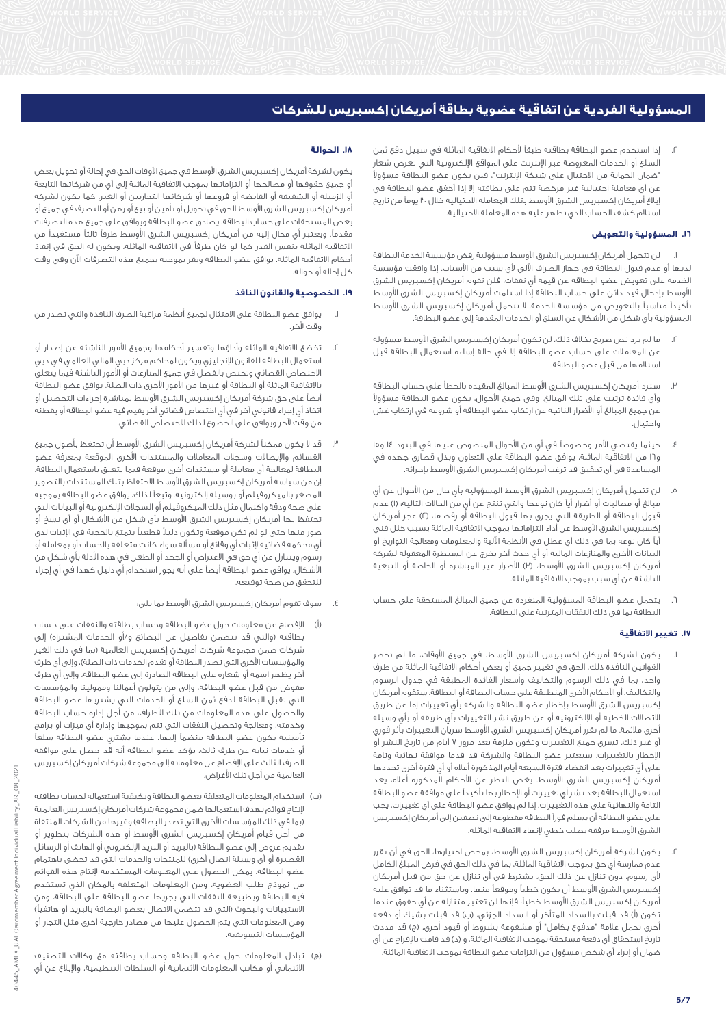.2 إذا استخدم عضو البطاقة بطاقته طبقاً ألحكام االتفاقية الماثلة في سبيل دفع ثمن السلع أو الخدمات المعروضة عبر اإلنترنت على المواقع اإللكترونية التي تعرض شعار "ضمان الحماية من االحتيال على شبكة اإلنترنت"، فلن يكون عضو البطاقة مسؤوالً عن أي معاملة احتيالية غير مرخصة تتم على بطاقته إال إذا أخفق عضو البطاقة في بلاغ أمريكان إكسبريس الشرق الأوسط بتلك المعاملة الاحتيالية خلال ٣٠ يوماً من تاريخ استالم كشف الحساب الذي تظهر عليه هذه المعاملة االحتيالية.

# **.16 المسؤولية والتعويض**

لن تتحمل أمريكان إكسبريس الشرق الأوسط مسؤولية رفض مؤسسة الخدمة البطاقة لديها أو عدم قبول البطاقة في جهاز الصراف اآللي ألي سبب من األسباب. إذا وافقت مؤسسة الخدمة على تعويض عضو البطاقة عن قيمة أي نفقات، فلن تقوم أمريكان إكسبريس الشرق األوسط بإدخال قيد دائن على حساب البطاقة إذا استلمت أمريكان إكسبريس الشرق األوسط تأكيداً مناسباً بالتعويض من مؤسسة الخدمة. ال تتحمل أمريكان إكسبريس الشرق األوسط المسؤولية بأي شكل من األشكال عن السلع أو الخدمات المقدمة إلى عضو البطاقة.

- .2 ما لم يرد نص صريح بخالف ذلك، لن تكون أمريكان إكسبريس الشرق األوسط مسؤولة عن المعامالت على حساب عضو البطاقة إال في حالة إساءة استعمال البطاقة قبل استالمها من قبل عضو البطاقة.
- .3 سترد أمريكان إكسبريس الشرق األوسط المبالغ المقيدة بالخطأ على حساب البطاقة وأي فائدة ترتبت على تلك المبالغ. وفي جميع األحوال، يكون عضو البطاقة مسؤوالً عن جميع المبالغ أو األضرار الناتجة عن ارتكاب عضو البطاقة أو شروعه في ارتكاب غش واحتيال.
- .4 حيثما يقتضي األمر وخصوصاً في أيٍ من األحوال المنصوص عليها في البنود 14 و15 و16 من االتفاقية الماثلة، يوافق عضو البطاقة على التعاون وبذل قصارى جهده في المساعدة في أي تحقيق قد ترغب أمريكان إكسبريس الشرق الأوسط بإجرائه.
- ه. لن تتحمل أمريكان إكسبريس الشرق الأوسط المسؤولية بأي حال من الأحوال عن أي مبالغ أو مطالبات أو أضرار أياً كان نوعها والتي تنتج عن أيٍ من الحاالت التالية: )1( عدم قبول البطاقة أو الطريقة التي يجرى بها قبول البطاقة أو رفضها، )2( عجز أمريكان إكسبريس الشرق األوسط عن أداء التزاماتها بموجب االتفاقية الماثلة بسبب خلل فني أياً كان نوعه بما في ذلك أي عطل في األنظمة اآللية والمعلومات ومعالجة التواريخ أو البيانات األخرى والمنازعات المالية أو أي حدث آخر يخرج عن السيطرة المعقولة لشركة أمريكان إكسبريس الشرق الأوسط، (٣) الأضرار غير المباشرة أو الخاصة أو التبعية الناشئة عن أي سبب بموجب االتفاقية الماثلة.
- .6 يتحمل عضو البطاقة المسؤولية المنفردة عن جميع المبالغ المستحقة على حساب البطاقة بما في ذلك النفقات المترتبة على البطاقة.

# **.17 تغيير االتفاقية**

- .1 يكون لشركة أمريكان إكسبريس الشرق األوسط، في جميع األوقات، ما لم تحظر القوانين النافذة ذلك، الحق في تغيير جميع أو بعض أحكام االتفاقية الماثلة من طرف واحد، بما في ذلك الرسوم والتكاليف وأسعار الفائدة المطبقة في جدول الرسوم والتكاليف، أو األحكام األخرى المنطبقة على حساب البطاقة أو البطاقة. ستقوم أمريكان إكسبريس الشرق الأوسط بإخطار عضو البطاقة والشركة بأى تغييرات إما عن طريق االتصاالت الخطية أو اإللكترونية أو عن طريق نشر التغييرات بأي طريقة أو بأي وسيلة أخرى مالئمة. ما لم تقرر أمريكان إكسبريس الشرق األوسط سريان التغييرات بأثر فوري أو غير ذلك، تسري جميع التغييرات وتكون ملزمة بعد مرور 7 أيام من تاريخ النشر أو اإلخطار بالتغييرات. سيعتبر عضو البطاقة والشركة قد قدما موافقة نهائية وتامة على أي تغييرات بعد انقضاء فترة السبعة أيام المذكورة أعاله أو أي فترة أخرى تحددها أمريكان إكسبريس الشرق األوسط. بغض النظر عن األحكام المذكورة أعاله، يعد استعمال البطاقة بعد نشر أي تغييرات أو الإخطار بها تأكيداً على موافقة عضو البطاقة التامة والنهائية على هذه التغييرات. إذا لم يوافق عضو البطاقة على أي تغييرات، يجب على عضو البطاقة أن يسلم فوراً البطاقة مقطوعة إلى نصفين إلى أمريكان إكسبريس الشرق الأوسط مرفقة بطلب خطي لإنهاء الاتفاقية الماثلة.
- .2 يكون لشركة أمريكان إكسبريس الشرق األوسط، بمحض اختيارها، الحق في أن تقرر عدم ممارسة أي حق بموجب االتفاقية الماثلة، بما في ذلك الحق في فرض المبلغ الكامل ألي رسوم، دون تنازل عن ذلك الحق. يشترط في أي تنازل عن حق من قبل أمريكان .<br>إكسبريس الشرق الأوسط أن يكون خطياً وموقعاً منها. وباستثناء ما قد توافق عليه أمريكان إكسبريس الشرق األوسط خطيا،ً فإنها لن تعتبر متنازلة عن أي حقوق عندما تكون (أ) قد قبلت بالسداد المتأخر أو السداد الجزئي، (ب) قد قبلت بشيك أو دفعة أخرى تحمل علامة "مدفوع بكامل" أو مشفوعة بشروّط أو قيود أخرى، (ج) قد مددت تاريخ استحقاق أي دفعة مستحقة بموجب الاتفاقية الماثلة، و (د) قد قامت بالإفراج عن أي ضمان أو إبراء أي شخص مسؤول من التزامات عضو البطاقة بموجب االتفاقية الماثلة.

## **.18 الحوالة**

يكون لشركة أمريكان إكسبريس الشرق الأوسط في جميع الأوقات الحق في إحالة أو تحويل بعض أو جميع حقوقها أو مصالحها أو التزاماتها بموجب االتفاقية الماثلة إلى أيٍ من شركاتها التابعة أو الزميلة أو الشقيقة أو القابضة أو فروعها أو شركائها التجاريين أو الغير. كما يكون لشركة أمريكان إكسبريس الشرق األوسط الحق في تحويل أو تأمين أو بيع أو رهن أو التصرف في جميع أو بعض المستحقات على حساب البطاقة. يصادق عضو البطاقة ويوافق على جميع هذه التصرفات مقدما.ً ويعتبر أي محال إليه من أمريكان إكسبريس الشرق األوسط طرفاً ثالثاً مستفيداً من االتفاقية الماثلة بنفس القدر كما لو كان طرفاً في االتفاقية الماثلة، ويكون له الحق في إنفاذ أحكام االتفاقية الماثلة. يوافق عضو البطاقة ويقر بموجبه بجميع هذه التصرفات اآلن وفي وقت كل إحالة أو حوالة.

## **.19 الخصوصية والقانون النافذ**

- .1 يوافق عضو البطاقة على االمتثال لجميع أنظمة مراقبة الصرف النافذة والتي تصدر من وقت آلخر.
- .2 تخضع االتفاقية الماثلة وأداؤها وتفسير أحكامها وجميع األمور الناشئة عن إصدار أو استعمال البطاقة للقانون اإلنجليزي ويكون لمحاكم مركز دبي المالي العالمي في دبي االختصاص القضائي وتختص بالفصل في جميع المنازعات أو األمور الناشئة فيما يتعلق باالتفاقية الماثلة أو البطاقة أو غيرها من األمور األخرى ذات الصلة. يوافق عضو البطاقة أيضاً على حق شركة أمريكان إكسبريس الشرق األوسط بمباشرة إجراءات التحصيل أو اتخاذ أي إجراء قانوني آخر في أي اختصاص قضائي آخر يقيم فيه عضو البطاقة أو يقطنه من وقت آلخر ويوافق على الخضوع لذلك االختصاص القضائي.
- .3 قد ال يكون ممكناً لشركة أمريكان إكسبريس الشرق األوسط أن تحتفظ بأصول جميع القسائم واإليصاالت وسجالت المعامالت والمستندات األخرى الموقعة بمعرفة عضو البطاقة لمعالجة أي معاملة أو مستندات أخرى موقعة فيما يتعلق باستعمال البطاقة. إن من سياسة أمريكان إكسبريس الشرق األوسط االحتفاظ بتلك المستندات بالتصوير المصغر بالميكروفيلم أو بوسيلة إلكترونية. وتبعاً لذلك، يوافق عضو البطاقة بموجبه على صحة ودقة واكتمال مثل ذلك الميكروفيلم أو السجالت اإللكترونية أو البيانات التي تحتفظ بها أمريكان إكسبريس الشرق الأوسط بأى شكل من الأشكال أو أى نسخ أو صور منها حتى لو لم تكن موقعة وتكون دليالً قطعياً يتمتع بالحجية في اإلثبات لدى أي محكمة قضائية إلثبات أي وقائع أو مسألة سواء كانت متعلقة بالحساب أو بمعاملة أو رسوم ويتنازل عن أي حق في االعتراض أو الجحد أو الطعن في هذه األدلة بأي شكل من األشكال. يوافق عضو البطاقة أيضاً على أنه يجوز استخدام أي دليل كهذا في أي إجراء للتحقق من صحة توقيعه.
	- .4 سوف تقوم أمريكان إكسبريس الشرق األوسط بما يلي:
- )أ( اإلفصاح عن معلومات حول عضو البطاقة وحساب بطاقته والنفقات على حساب بطاقته (والتي قد تتضمن تفاصيل عن البضائع و/أو الخدمات المشتراة) إلى شركات ضمن مجموعة شركات أمريكان إكسبريس العالمية )بما في ذلك الغير والمؤسسات الأخرى التي تصدر البطاقة أو تقدم الخدمات ذات الصلة)، وإلى أي طرف آخر يظهر اسمه أو شعاره على البطاقة الصادرة إلى عضو البطاقة، وإلى أي طرف مفوض من قبل عضو البطاقة، وإلى من يتولون أعمالنا وممولينا والمؤسسات التي تقبل البطاقة لدفع ثمن السلع أو الخدمات التي يشتريها عضو البطاقة والحصول على هذه المعلومات من تلك األطراف، من أجل إدارة حساب البطاقة وخدمته، ومعالجة وتحصيل النفقات التي تتم بموجبها وإدارة أي ميزات أو برامج تأمينية يكون عضو البطاقة منضماً إليها. عندما يشتري عضو البطاقة سلعاً أو خدمات نيابة عن طرف ثالث، يؤكد عضو البطاقة أنه قد حصل على موافقة الطرف الثالث على اإلفصاح عن معلوماته إلى مجموعة شركات أمريكان إكسبريس العالمية من أجل تلك الأغراض.
- )ب( استخدام المعلومات المتعلقة بعضو البطاقة وبكيفية استعماله لحساب بطاقته إلنتاج قوائم بهدف استعمالها ضمن مجموعة شركات أمريكان إكسبريس العالمية (بما في ذلك المؤسسات الأخرى التي تصدر البطاقة) وغيرها من الشركات المنتقاة من أجل قيام أمريكان إكسبريس الشرق األوسط أو هذه الشركات بتطوير أو تقديم عروض إلى عضو البطاقة (بالبريد أو البريد الإلكتروني أو الهاتف أو الرسائل القصيرة أو أي وسيلة اتصال أخرى) للمنتجات والخدمات التي قد تحظى باهتمام عضو البطاقة. يمكن الحصول على المعلومات المستخدمة إلنتاج هذه القوائم من نموذج طلب العضوية، ومن المعلومات المتعلقة بالمكان الذي تستخدم فيه البطاقة وبطبيعة النفقات التي يجريها عضو البطاقة على البطاقة، ومن الاستبيانات والبحوث (التي قد تتضمن الاتصال بعضو البطاقة بالبريد أو هاتفياً) ومن المعلومات التي يتم الحصول عليها من مصادر خارجية أخرى مثل التجار أو المؤسسات التسويقية.
- )ج( تبادل المعلومات حول عضو البطاقة وحساب بطاقته مع وكاالت التصنيف االئتماني أو مكاتب المعلومات االئتمانية أو السلطات التنظيمية، واإلبالغ عن أي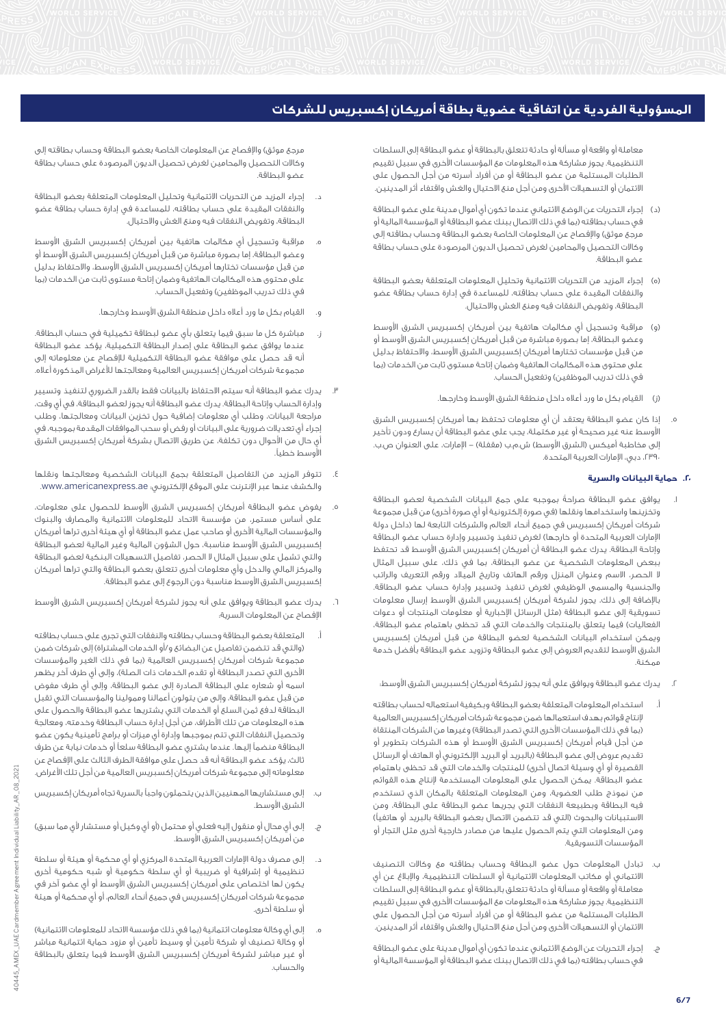معاملة أو واقعة أو مسألة أو حادثة تتعلق بالبطاقة أو عضو البطاقة إلى السلطات التنظيمية. يجوز مشاركة هذه المعلومات مع المؤسسات األخرى في سبيل تقييم الطلبات المستلمة من عضو البطاقة أو من أفراد أسرته من أجل الحصول على االئتمان أو التسهيالت األخرى ومن أجل منع االحتيال والغش واقتفاء أثر المدينين.

- )د( إجراء التحريات عن الوضع االئتماني عندما تكون أي أموال مدينة على عضو البطاقة في حساب بطاقته )بما في ذلك االتصال ببنك عضو البطاقة أو المؤسسة المالية أو مرجع موثق) والإفصاح عن المعلومات الخاصة بعضو البطاقة وحساب بطاقته إلى وكاالت التحصيل والمحامين لغرض تحصيل الديون المرصودة على حساب بطاقة عضو البطاقة.
- )ه( إجراء المزيد من التحريات االئتمانية وتحليل المعلومات المتعلقة بعضو البطاقة والنفقات المقيدة على حساب بطاقته، للمساعدة في إدارة حساب بطاقة عضو البطاقة، وتفويض النفقات فيه ومنع الغش واالحتيال.
- مراقبة وتسجيل أي مكالمات هاتفية بين أمريكان إكسبريس الشرق الأوسط وعضو البطاقة، إما بصورة مباشرة من قبل أمريكان إكسبريس الشرق الأوسط أو من قبل مؤسسات تختارها أمريكان إكسبريس الشرق األوسط، واالحتفاظ بدليل على محتوى هذه المكالمات الهاتفية وضمان إتاحة مستوى ثابت من الخدمات )بما في ذلك تدريب الموظفين) وتفعيل الحساب.
	- )ز( القيام بكل ما ورد أعاله داخل منطقة الشرق األوسط وخارجها.
- إذا كان عضو البطاقة يعتقد أن أي معلومات تحتفظ بها أمريكان إكسبريس الشرق األوسط عنه غير صحيحة أو غير مكتملة، يجب على عضو البطاقة أن يسارع ودون تأخير إلى مخاطبة أميكس (الشرق الأوسط) ش.م.ب (مقفلة) – الإمارات، على العنوان ص.ب. ،2390 دبي، اإلمارات العربية المتحدة.

# **.20 حماية البيانات والسرية**

- .1 يوافق عضو البطاقة صراحةً بموجبه على جمع البيانات الشخصية لعضو البطاقة وتخزينها واستخدامها ونقلها (في صورة إلكترونية أو أي صورة أخرى) من قبل مجموعة شركات أمريكان إكسبريس في جميع أنحاء العالم والشركات التابعة لها )داخل دولة الإمارات العربية المتحدة أو خارجها) لغرض تنفيذ وتسيير وإدارة حساب عضو البطاقة وإتاحة البطاقة. يدرك عضو البطاقة أن أمريكان إكسبريس الشرق األوسط قد تحتفظ ببعض المعلومات الشخصية عن عضو البطاقة، بما في ذلك، على سبيل المثال ال الحصر، االسم وعنوان المنزل ورقم الهاتف وتاريخ الميالد ورقم التعريف والراتب والجنسية والمسمى الوظيفي لغرض تنفيذ وتسيير وإدارة حساب عضو البطاقة. باإلضافة إلى ذلك، يجوز لشركة أمريكان إكسبريس الشرق األوسط إرسال معلومات تسويقية إلى عضو البطاقة (مثل الرسائل الإخبارية أو معلومات المنتجات أو دعوات الفعاليات) فيما يتعلق بالمنتجات والخدمات التي قد تحظى باهتمام عضو البطاقة، ويمكن استخدام البيانات الشخصية لعضو البطاقة من قبل أمريكان إكسبريس الشرق األوسط لتقديم العروض إلى عضو البطاقة وتزويد عضو البطاقة بأفضل خدمة ممكنة.
	- .2 يدرك عضو البطاقة ويوافق على أنه يجوز لشركة أمريكان إكسبريس الشرق األوسط:
- أ. استخدام المعلومات المتعلقة بعضو البطاقة وبكيفية استعماله لحساب بطاقته إلنتاج قوائم بهدف استعمالها ضمن مجموعة شركات أمريكان إكسبريس العالمية (بما في ذلك المؤسسات الأخرى التي تصدر البطاقة) وغيرها من الشركات المنتقاة من أجل قيام أمريكان إكسبريس الشرق األوسط أو هذه الشركات بتطوير أو تقديم عروض إلى عضو البطاقة (بالبريد أو البريد الإلكتروني أو الهاتف أو الرسائل القصيرة أو أي وسيلة اتصال أخرى) للمنتجات والخدمات التي قد تحظى باهتمام عضو البطاقة. يمكن الحصول على المعلومات المستخدمة إلنتاج هذه القوائم من نموذج طلب العضوية، ومن المعلومات المتعلقة بالمكان الذي تستخدم فيه البطاقة وبطبيعة النفقات التي يجريها عضو البطاقة على البطاقة، ومن .<br>الاستبيانات والبحوث (التي قد تتضمن الاتصال بعضو البطاقة بالبريد أو هاتفياً) ومن المعلومات التي يتم الحصول عليها من مصادر خارجية أخرى مثل التجار أو المؤسسات التسويقية.
- ب. تبادل المعلومات حول عضو البطاقة وحساب بطاقته مع وكاالت التصنيف االئتماني أو مكاتب المعلومات االئتمانية أو السلطات التنظيمية، واإلبالغ عن أي معاملة أو واقعة أو مسألة أو حادثة تتعلق بالبطاقة أو عضو البطاقة إلى السلطات التنظيمية. يجوز مشاركة هذه المعلومات مع المؤسسات األخرى في سبيل تقييم الطلبات المستلمة من عضو البطاقة أو من أفراد أسرته من أجل الحصول على االئتمان أو التسهيالت األخرى ومن أجل منع االحتيال والغش واقتفاء أثر المدينين.
- ج. إجراء التحريات عن الوضع االئتماني عندما تكون أي أموال مدينة على عضو البطاقة في حساب بطاقته )بما في ذلك االتصال ببنك عضو البطاقة أو المؤسسة المالية أو

مرجع موثق) والإفصاح عن المعلومات الخاصة بعضو البطاقة وحساب بطاقته إلى وكاالت التحصيل والمحامين لغرض تحصيل الديون المرصودة على حساب بطاقة عضو البطاقة.

- د. إجراء المزيد من التحريات االئتمانية وتحليل المعلومات المتعلقة بعضو البطاقة والنفقات المقيدة على حساب بطاقته، للمساعدة في إدارة حساب بطاقة عضو البطاقة، وتفويض النفقات فيه ومنع الغش واالحتيال.
- مراقبة وتسجيل أي مكالمات هاتفية بين أمريكان إكسبريس الشرق الأوسط وعضو البطاقة، إما بصورة مباشرة من قبل أمريكان إكسبريس الشرق األوسط أو من قبل مؤسسات تختارها أمريكان إكسبريس الشرق األوسط، واالحتفاظ بدليل على محتوى هذه المكالمات الهاتفية وضمان إتاحة مستوى ثابت من الخدمات )بما في ذلك تدريب الموظفين) وتفعيل الحساب.
	- و. القيام بكل ما ورد أعاله داخل منطقة الشرق األوسط وخارجها.
- ز. مباشرة كل ما سبق فيما يتعلق بأي عضو لبطاقة تكميلية في حساب البطاقة. عندما يوافق عضو البطاقة على إصدار البطاقة التكميلية، يؤكد عضو البطاقة أنه قد حصل على موافقة عضو البطاقة التكميلية لإلفصاح عن معلوماته إلى مجموعة شركات أمريكان إكسبريس العالمية ومعالجتها لألغراض المذكورة أعاله.
- .3 يدرك عضو البطاقة أنه سيتم االحتفاظ بالبيانات فقط بالقدر الضروري لتنفيذ وتسيير وإدارة الحساب وإتاحة البطاقة. يدرك عضو البطاقة أنه يجوز لعضو البطاقة، في أي وقت، مراجعة البيانات، وطلب أي معلومات إضافية حول تخزين البيانات ومعالجتها، وطلب إجراء أي تعديالت ضرورية على البيانات أو رفض أو سحب الموافقات المقدمة بموجبه، في أي حال من األحوال دون تكلفة، عن طريق االتصال بشركة أمريكان إكسبريس الشرق األوسط خطيا.ً
- .4 تتوفر المزيد من التفاصيل المتعلقة بجمع البيانات الشخصية ومعالجتها ونقلها والكشف عنها عبر اإلنترنت على الموقع اإللكتروني: ae.americanexpress.www.
- يفوض عضو البطاقة أمريكان إكسبريس الشرق الأوسط للحصول على معلومات، على أساس مستمر، من مؤسسة االتحاد للمعلومات االئتمانية والمصارف والبنوك والمؤسسات المالية األخرى أو صاحب عمل عضو البطاقة أو أي هيئة أخرى تراها أمريكان إكسبريس الشرق األوسط مناسبة، حول الشؤون المالية وغير المالية لعضو البطاقة والتي تشمل على سبيل المثال ال الحصر، تفاصيل التسهيالت البنكية لعضو البطاقة والمركز المالي والدخل وأي معلومات أخرى تتعلق بعضو البطاقة والتي تراها أمريكان إكسبريس الشرق األوسط مناسبة دون الرجوع إلى عضو البطاقة.
- .6 يدرك عضو البطاقة ويوافق على أنه يجوز لشركة أمريكان إكسبريس الشرق األوسط اإلفصاح عن المعلومات السرية:
- أ. المتعلقة بعضو البطاقة وحساب بطاقته والنفقات التي تجرى على حساب بطاقته (والتي قد تتضمن تفاصيل عن البضائع و/أو الخدمات المشتراة) إلى شركات ضمن مجموعة شركات أمريكان إكسبريس العالمية (بما في ذلك الغير والمؤسسات الأخرى التي تصدر البطاقة أو تقدم الخدمات ذات الصلة)، وإلى أي طرف آخر يظهر اسمه أو شعاره على البطاقة الصادرة إلى عضو البطاقة، وإلى أي طرف مفوض من قبل عضو البطاقة، وإلى من يتولون أعمالنا وممولينا والمؤسسات التي تقبل البطاقة لدفع ثمن السلع أو الخدمات التي يشتريها عضو البطاقة والحصول على هذه المعلومات من تلك األطراف، من أجل إدارة حساب البطاقة وخدمته، ومعالجة وتحصيل النفقات التي تتم بموجبها وإدارة أي ميزات أو برامج تأمينية يكون عضو البطاقة منضماً إليها. عندما يشتري عضو البطاقة سلعاً أو خدمات نيابة عن طرف ثالث، يؤكد عضو البطاقة أنه قد حصل على موافقة الطرف الثالث على اإلفصاح عن معلوماته إلى مجموعة شركات أمريكان إكسبريس العالمية من أجل تلك األغراض.
- ب. إلى مستشاريها المهنيين الذين يتحملون واجباً بالسرية تجاه أمريكان إكسبريس الشرق األوسط.
- ج. إلى أي محال أو منقول إليه فعلي أو محتمل (أو أي وكيل أو مستشار لأي مما سبق) من أمريكان إكسبريس الشرق األوسط.
- د. إلى مصرف دولة اإلمارات العربية المتحدة المركزي أو أي محكمة أو هيئة أو سلطة تنظيمية أو إشرافية أو ضريبية أو أي سلطة حكومية أو شبه حكومية أخرى يكون لها اختصاص على أمريكان إكسبريس الشرق األوسط أو أي عضو آخر في مجموعة شركات أمريكان إكسبريس في جميع أنحاء العالم، أو أي محكمة أو هيئة أو سلطة أخرى.
- إلى أي وكالة معلومات ائتمانية (بما في ذلك مؤسسة الاتحاد للمعلومات الائتمانية) أو وكالة تصنيف أو شركة تأمين أو وسيط تأمين أو مزود حماية ائتمانية مباشر أو غير مباشر لشركة أمريكان إكسبريس الشرق األوسط فيما يتعلق بالبطاقة والحساب.